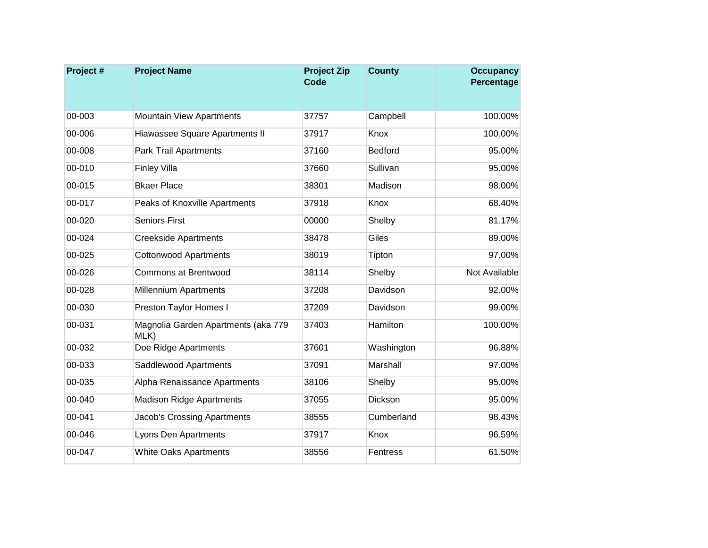| Project# | <b>Project Name</b>                         | <b>Project Zip</b><br><b>Code</b> | <b>County</b>   | <b>Occupancy</b><br>Percentage |
|----------|---------------------------------------------|-----------------------------------|-----------------|--------------------------------|
|          |                                             |                                   |                 |                                |
| 00-003   | <b>Mountain View Apartments</b>             | 37757                             | Campbell        | 100.00%                        |
| 00-006   | Hiawassee Square Apartments II              | 37917                             | Knox            | 100.00%                        |
| 00-008   | <b>Park Trail Apartments</b>                | 37160                             | <b>Bedford</b>  | 95.00%                         |
| 00-010   | <b>Finley Villa</b>                         | 37660                             | Sullivan        | 95.00%                         |
| 00-015   | <b>Bkaer Place</b>                          | 38301                             | Madison         | 98.00%                         |
| 00-017   | Peaks of Knoxville Apartments               | 37918                             | Knox            | 68.40%                         |
| 00-020   | <b>Seniors First</b>                        | 00000                             | Shelby          | 81.17%                         |
| 00-024   | <b>Creekside Apartments</b>                 | 38478                             | Giles           | 89.00%                         |
| 00-025   | <b>Cottonwood Apartments</b>                | 38019                             | Tipton          | 97.00%                         |
| 00-026   | <b>Commons at Brentwood</b>                 | 38114                             | Shelby          | Not Available                  |
| 00-028   | <b>Millennium Apartments</b>                | 37208                             | Davidson        | 92.00%                         |
| 00-030   | Preston Taylor Homes I                      | 37209                             | Davidson        | 99.00%                         |
| 00-031   | Magnolia Garden Apartments (aka 779<br>MLK) | 37403                             | Hamilton        | 100.00%                        |
| 00-032   | Doe Ridge Apartments                        | 37601                             | Washington      | 96.88%                         |
| 00-033   | Saddlewood Apartments                       | 37091                             | <b>Marshall</b> | 97.00%                         |
| 00-035   | Alpha Renaissance Apartments                | 38106                             | Shelby          | 95.00%                         |
| 00-040   | <b>Madison Ridge Apartments</b>             | 37055                             | Dickson         | 95.00%                         |
| 00-041   | <b>Jacob's Crossing Apartments</b>          | 38555                             | Cumberland      | 98.43%                         |
| 00-046   | Lyons Den Apartments                        | 37917                             | Knox            | 96.59%                         |
| 00-047   | <b>White Oaks Apartments</b>                | 38556                             | Fentress        | 61.50%                         |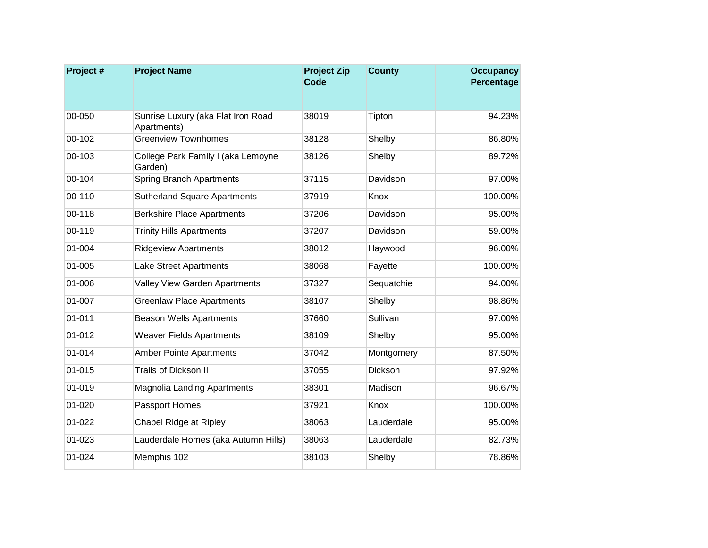| Project#   | <b>Project Name</b>                               | <b>Project Zip</b><br><b>Code</b> | <b>County</b> | <b>Occupancy</b><br>Percentage |
|------------|---------------------------------------------------|-----------------------------------|---------------|--------------------------------|
|            |                                                   |                                   |               |                                |
| 00-050     | Sunrise Luxury (aka Flat Iron Road<br>Apartments) | 38019                             | Tipton        | 94.23%                         |
| 00-102     | <b>Greenview Townhomes</b>                        | 38128                             | Shelby        | 86.80%                         |
| 00-103     | College Park Family I (aka Lemoyne<br>Garden)     | 38126                             | Shelby        | 89.72%                         |
| 00-104     | <b>Spring Branch Apartments</b>                   | 37115                             | Davidson      | 97.00%                         |
| 00-110     | <b>Sutherland Square Apartments</b>               | 37919                             | Knox          | 100.00%                        |
| 00-118     | <b>Berkshire Place Apartments</b>                 | 37206                             | Davidson      | 95.00%                         |
| 00-119     | <b>Trinity Hills Apartments</b>                   | 37207                             | Davidson      | 59.00%                         |
| 01-004     | <b>Ridgeview Apartments</b>                       | 38012                             | Haywood       | 96.00%                         |
| 01-005     | Lake Street Apartments                            | 38068                             | Fayette       | 100.00%                        |
| 01-006     | Valley View Garden Apartments                     | 37327                             | Sequatchie    | 94.00%                         |
| 01-007     | <b>Greenlaw Place Apartments</b>                  | 38107                             | Shelby        | 98.86%                         |
| $01 - 011$ | <b>Beason Wells Apartments</b>                    | 37660                             | Sullivan      | 97.00%                         |
| 01-012     | <b>Weaver Fields Apartments</b>                   | 38109                             | Shelby        | 95.00%                         |
| 01-014     | <b>Amber Pointe Apartments</b>                    | 37042                             | Montgomery    | 87.50%                         |
| 01-015     | <b>Trails of Dickson II</b>                       | 37055                             | Dickson       | 97.92%                         |
| 01-019     | Magnolia Landing Apartments                       | 38301                             | Madison       | 96.67%                         |
| 01-020     | Passport Homes                                    | 37921                             | Knox          | 100.00%                        |
| 01-022     | Chapel Ridge at Ripley                            | 38063                             | Lauderdale    | 95.00%                         |
| 01-023     | Lauderdale Homes (aka Autumn Hills)               | 38063                             | Lauderdale    | 82.73%                         |
| 01-024     | Memphis 102                                       | 38103                             | Shelby        | 78.86%                         |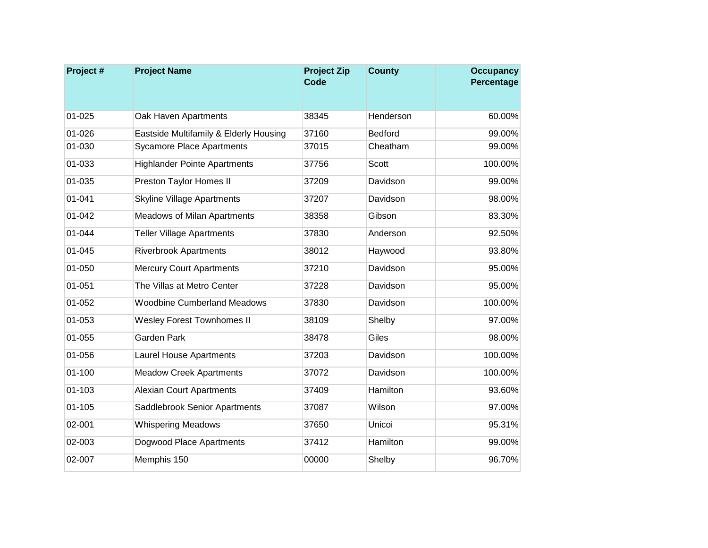| Project #  | <b>Project Name</b>                    | <b>Project Zip</b><br><b>Code</b> | <b>County</b>  | <b>Occupancy</b><br>Percentage |
|------------|----------------------------------------|-----------------------------------|----------------|--------------------------------|
| 01-025     | Oak Haven Apartments                   | 38345                             | Henderson      | 60.00%                         |
| 01-026     | Eastside Multifamily & Elderly Housing | 37160                             | <b>Bedford</b> | 99.00%                         |
| 01-030     | <b>Sycamore Place Apartments</b>       | 37015                             | Cheatham       | 99.00%                         |
| 01-033     | <b>Highlander Pointe Apartments</b>    | 37756                             | Scott          | 100.00%                        |
| 01-035     | Preston Taylor Homes II                | 37209                             | Davidson       | 99.00%                         |
| 01-041     | <b>Skyline Village Apartments</b>      | 37207                             | Davidson       | 98.00%                         |
| 01-042     | <b>Meadows of Milan Apartments</b>     | 38358                             | Gibson         | 83.30%                         |
| 01-044     | <b>Teller Village Apartments</b>       | 37830                             | Anderson       | 92.50%                         |
| 01-045     | <b>Riverbrook Apartments</b>           | 38012                             | Haywood        | 93.80%                         |
| 01-050     | <b>Mercury Court Apartments</b>        | 37210                             | Davidson       | 95.00%                         |
| $01 - 051$ | The Villas at Metro Center             | 37228                             | Davidson       | 95.00%                         |
| 01-052     | <b>Woodbine Cumberland Meadows</b>     | 37830                             | Davidson       | 100.00%                        |
| 01-053     | <b>Wesley Forest Townhomes II</b>      | 38109                             | Shelby         | 97.00%                         |
| 01-055     | <b>Garden Park</b>                     | 38478                             | Giles          | 98.00%                         |
| 01-056     | <b>Laurel House Apartments</b>         | 37203                             | Davidson       | 100.00%                        |
| $01 - 100$ | <b>Meadow Creek Apartments</b>         | 37072                             | Davidson       | 100.00%                        |
| 01-103     | <b>Alexian Court Apartments</b>        | 37409                             | Hamilton       | 93.60%                         |
| $01 - 105$ | Saddlebrook Senior Apartments          | 37087                             | Wilson         | 97.00%                         |
| 02-001     | <b>Whispering Meadows</b>              | 37650                             | Unicoi         | 95.31%                         |
| 02-003     | Dogwood Place Apartments               | 37412                             | Hamilton       | 99.00%                         |
| 02-007     | Memphis 150                            | 00000                             | Shelby         | 96.70%                         |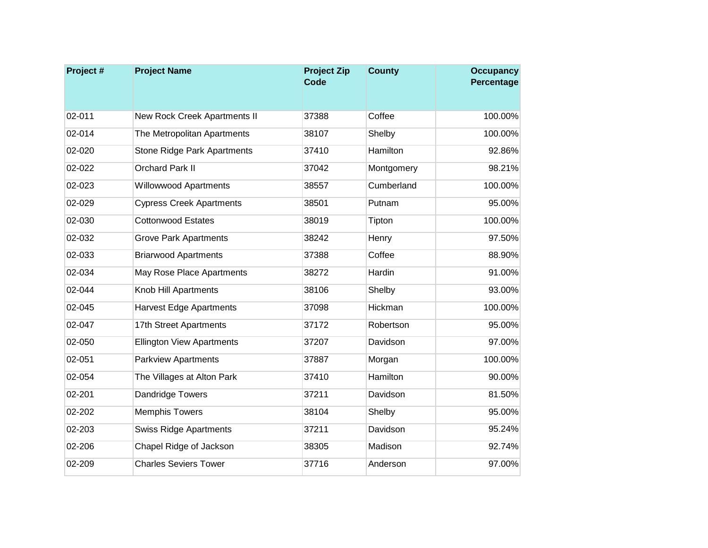| Project# | <b>Project Name</b>                | <b>Project Zip</b><br><b>Code</b> | <b>County</b> | <b>Occupancy</b><br>Percentage |
|----------|------------------------------------|-----------------------------------|---------------|--------------------------------|
|          |                                    |                                   |               |                                |
| 02-011   | New Rock Creek Apartments II       | 37388                             | Coffee        | 100.00%                        |
| 02-014   | The Metropolitan Apartments        | 38107                             | Shelby        | 100.00%                        |
| 02-020   | <b>Stone Ridge Park Apartments</b> | 37410                             | Hamilton      | 92.86%                         |
| 02-022   | <b>Orchard Park II</b>             | 37042                             | Montgomery    | 98.21%                         |
| 02-023   | <b>Willowwood Apartments</b>       | 38557                             | Cumberland    | 100.00%                        |
| 02-029   | <b>Cypress Creek Apartments</b>    | 38501                             | Putnam        | 95.00%                         |
| 02-030   | <b>Cottonwood Estates</b>          | 38019                             | Tipton        | 100.00%                        |
| 02-032   | <b>Grove Park Apartments</b>       | 38242                             | Henry         | 97.50%                         |
| 02-033   | <b>Briarwood Apartments</b>        | 37388                             | Coffee        | 88.90%                         |
| 02-034   | May Rose Place Apartments          | 38272                             | Hardin        | 91.00%                         |
| 02-044   | Knob Hill Apartments               | 38106                             | Shelby        | 93.00%                         |
| 02-045   | <b>Harvest Edge Apartments</b>     | 37098                             | Hickman       | 100.00%                        |
| 02-047   | 17th Street Apartments             | 37172                             | Robertson     | 95.00%                         |
| 02-050   | <b>Ellington View Apartments</b>   | 37207                             | Davidson      | 97.00%                         |
| 02-051   | <b>Parkview Apartments</b>         | 37887                             | Morgan        | 100.00%                        |
| 02-054   | The Villages at Alton Park         | 37410                             | Hamilton      | 90.00%                         |
| 02-201   | Dandridge Towers                   | 37211                             | Davidson      | 81.50%                         |
| 02-202   | <b>Memphis Towers</b>              | 38104                             | Shelby        | 95.00%                         |
| 02-203   | <b>Swiss Ridge Apartments</b>      | 37211                             | Davidson      | 95.24%                         |
| 02-206   | Chapel Ridge of Jackson            | 38305                             | Madison       | 92.74%                         |
| 02-209   | <b>Charles Seviers Tower</b>       | 37716                             | Anderson      | 97.00%                         |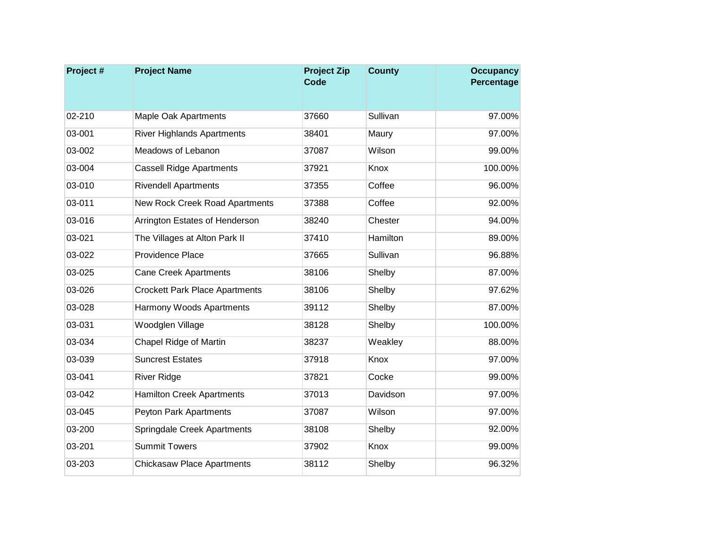| Project# | <b>Project Name</b>                   | <b>Project Zip</b><br><b>Code</b> | <b>County</b> | <b>Occupancy</b><br>Percentage |
|----------|---------------------------------------|-----------------------------------|---------------|--------------------------------|
|          |                                       |                                   |               |                                |
| 02-210   | <b>Maple Oak Apartments</b>           | 37660                             | Sullivan      | 97.00%                         |
| 03-001   | <b>River Highlands Apartments</b>     | 38401                             | Maury         | 97.00%                         |
| 03-002   | Meadows of Lebanon                    | 37087                             | Wilson        | 99.00%                         |
| 03-004   | <b>Cassell Ridge Apartments</b>       | 37921                             | Knox          | 100.00%                        |
| 03-010   | <b>Rivendell Apartments</b>           | 37355                             | Coffee        | 96.00%                         |
| 03-011   | New Rock Creek Road Apartments        | 37388                             | Coffee        | 92.00%                         |
| 03-016   | Arrington Estates of Henderson        | 38240                             | Chester       | 94.00%                         |
| 03-021   | The Villages at Alton Park II         | 37410                             | Hamilton      | 89.00%                         |
| 03-022   | Providence Place                      | 37665                             | Sullivan      | 96.88%                         |
| 03-025   | <b>Cane Creek Apartments</b>          | 38106                             | Shelby        | 87.00%                         |
| 03-026   | <b>Crockett Park Place Apartments</b> | 38106                             | Shelby        | 97.62%                         |
| 03-028   | Harmony Woods Apartments              | 39112                             | Shelby        | 87.00%                         |
| 03-031   | Woodglen Village                      | 38128                             | Shelby        | 100.00%                        |
| 03-034   | Chapel Ridge of Martin                | 38237                             | Weakley       | 88.00%                         |
| 03-039   | <b>Suncrest Estates</b>               | 37918                             | Knox          | 97.00%                         |
| 03-041   | <b>River Ridge</b>                    | 37821                             | Cocke         | 99.00%                         |
| 03-042   | <b>Hamilton Creek Apartments</b>      | 37013                             | Davidson      | 97.00%                         |
| 03-045   | Peyton Park Apartments                | 37087                             | Wilson        | 97.00%                         |
| 03-200   | Springdale Creek Apartments           | 38108                             | Shelby        | 92.00%                         |
| 03-201   | <b>Summit Towers</b>                  | 37902                             | Knox          | 99.00%                         |
| 03-203   | <b>Chickasaw Place Apartments</b>     | 38112                             | Shelby        | 96.32%                         |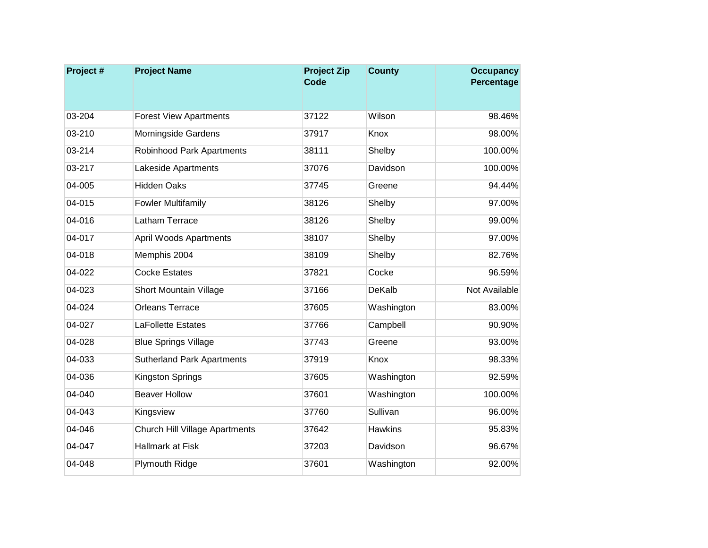| Project# | <b>Project Name</b>               | <b>Project Zip</b><br><b>Code</b> | <b>County</b>  | <b>Occupancy</b><br>Percentage |
|----------|-----------------------------------|-----------------------------------|----------------|--------------------------------|
|          |                                   |                                   |                |                                |
| 03-204   | <b>Forest View Apartments</b>     | 37122                             | Wilson         | 98.46%                         |
| 03-210   | Morningside Gardens               | 37917                             | Knox           | 98.00%                         |
| 03-214   | <b>Robinhood Park Apartments</b>  | 38111                             | Shelby         | 100.00%                        |
| 03-217   | Lakeside Apartments               | 37076                             | Davidson       | 100.00%                        |
| 04-005   | <b>Hidden Oaks</b>                | 37745                             | Greene         | 94.44%                         |
| 04-015   | <b>Fowler Multifamily</b>         | 38126                             | Shelby         | 97.00%                         |
| 04-016   | Latham Terrace                    | 38126                             | Shelby         | 99.00%                         |
| 04-017   | <b>April Woods Apartments</b>     | 38107                             | Shelby         | 97.00%                         |
| 04-018   | Memphis 2004                      | 38109                             | Shelby         | 82.76%                         |
| 04-022   | <b>Cocke Estates</b>              | 37821                             | Cocke          | 96.59%                         |
| 04-023   | <b>Short Mountain Village</b>     | 37166                             | DeKalb         | Not Available                  |
| 04-024   | <b>Orleans Terrace</b>            | 37605                             | Washington     | 83.00%                         |
| 04-027   | <b>LaFollette Estates</b>         | 37766                             | Campbell       | 90.90%                         |
| 04-028   | <b>Blue Springs Village</b>       | 37743                             | Greene         | 93.00%                         |
| 04-033   | <b>Sutherland Park Apartments</b> | 37919                             | Knox           | 98.33%                         |
| 04-036   | Kingston Springs                  | 37605                             | Washington     | 92.59%                         |
| 04-040   | <b>Beaver Hollow</b>              | 37601                             | Washington     | 100.00%                        |
| 04-043   | Kingsview                         | 37760                             | Sullivan       | 96.00%                         |
| 04-046   | Church Hill Village Apartments    | 37642                             | <b>Hawkins</b> | 95.83%                         |
| 04-047   | Hallmark at Fisk                  | 37203                             | Davidson       | 96.67%                         |
| 04-048   | <b>Plymouth Ridge</b>             | 37601                             | Washington     | 92.00%                         |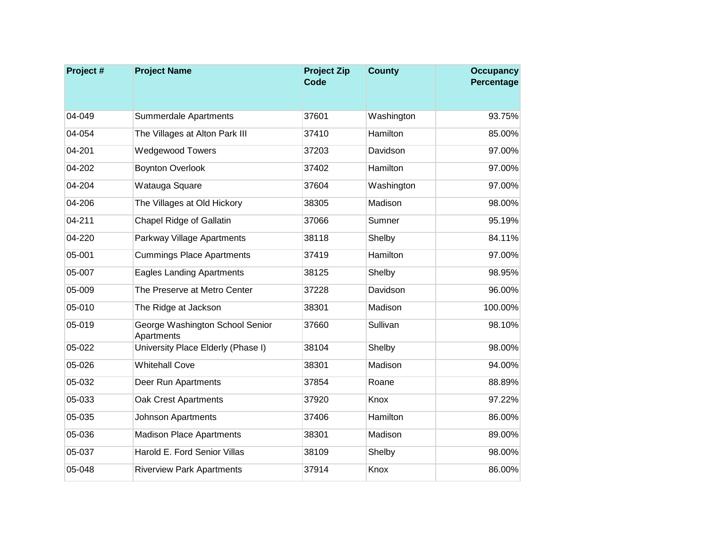| Project# | <b>Project Name</b>                           | <b>Project Zip</b><br><b>Code</b> | <b>County</b> | <b>Occupancy</b><br>Percentage |
|----------|-----------------------------------------------|-----------------------------------|---------------|--------------------------------|
|          |                                               |                                   |               |                                |
| 04-049   | <b>Summerdale Apartments</b>                  | 37601                             | Washington    | 93.75%                         |
| 04-054   | The Villages at Alton Park III                | 37410                             | Hamilton      | 85.00%                         |
| 04-201   | <b>Wedgewood Towers</b>                       | 37203                             | Davidson      | 97.00%                         |
| 04-202   | <b>Boynton Overlook</b>                       | 37402                             | Hamilton      | 97.00%                         |
| 04-204   | Watauga Square                                | 37604                             | Washington    | 97.00%                         |
| 04-206   | The Villages at Old Hickory                   | 38305                             | Madison       | 98.00%                         |
| 04-211   | Chapel Ridge of Gallatin                      | 37066                             | Sumner        | 95.19%                         |
| 04-220   | Parkway Village Apartments                    | 38118                             | Shelby        | 84.11%                         |
| 05-001   | <b>Cummings Place Apartments</b>              | 37419                             | Hamilton      | 97.00%                         |
| 05-007   | <b>Eagles Landing Apartments</b>              | 38125                             | Shelby        | 98.95%                         |
| 05-009   | The Preserve at Metro Center                  | 37228                             | Davidson      | 96.00%                         |
| 05-010   | The Ridge at Jackson                          | 38301                             | Madison       | 100.00%                        |
| 05-019   | George Washington School Senior<br>Apartments | 37660                             | Sullivan      | 98.10%                         |
| 05-022   | University Place Elderly (Phase I)            | 38104                             | Shelby        | 98.00%                         |
| 05-026   | <b>Whitehall Cove</b>                         | 38301                             | Madison       | 94.00%                         |
| 05-032   | Deer Run Apartments                           | 37854                             | Roane         | 88.89%                         |
| 05-033   | <b>Oak Crest Apartments</b>                   | 37920                             | Knox          | 97.22%                         |
| 05-035   | <b>Johnson Apartments</b>                     | 37406                             | Hamilton      | 86.00%                         |
| 05-036   | <b>Madison Place Apartments</b>               | 38301                             | Madison       | 89.00%                         |
| 05-037   | Harold E. Ford Senior Villas                  | 38109                             | Shelby        | 98.00%                         |
| 05-048   | <b>Riverview Park Apartments</b>              | 37914                             | Knox          | 86.00%                         |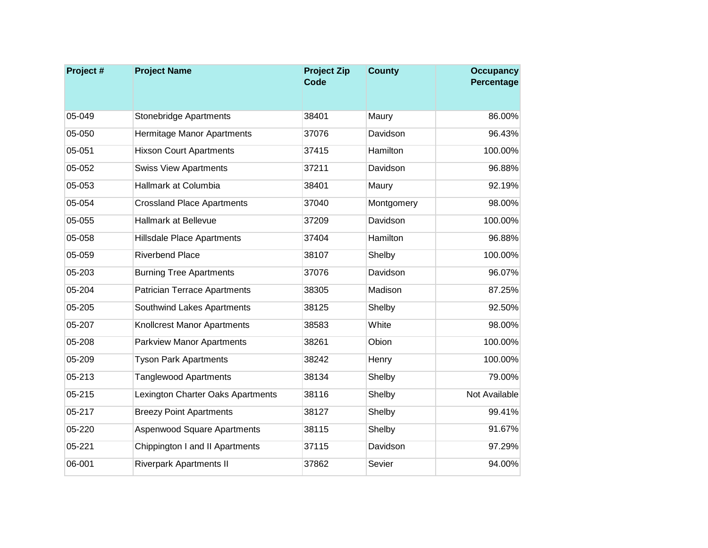| Project# | <b>Project Name</b>                 | <b>Project Zip</b><br><b>Code</b> | <b>County</b> | <b>Occupancy</b><br>Percentage |
|----------|-------------------------------------|-----------------------------------|---------------|--------------------------------|
|          |                                     |                                   |               |                                |
| 05-049   | <b>Stonebridge Apartments</b>       | 38401                             | Maury         | 86.00%                         |
| 05-050   | Hermitage Manor Apartments          | 37076                             | Davidson      | 96.43%                         |
| 05-051   | <b>Hixson Court Apartments</b>      | 37415                             | Hamilton      | 100.00%                        |
| 05-052   | <b>Swiss View Apartments</b>        | 37211                             | Davidson      | 96.88%                         |
| 05-053   | Hallmark at Columbia                | 38401                             | Maury         | 92.19%                         |
| 05-054   | <b>Crossland Place Apartments</b>   | 37040                             | Montgomery    | 98.00%                         |
| 05-055   | Hallmark at Bellevue                | 37209                             | Davidson      | 100.00%                        |
| 05-058   | Hillsdale Place Apartments          | 37404                             | Hamilton      | 96.88%                         |
| 05-059   | <b>Riverbend Place</b>              | 38107                             | Shelby        | 100.00%                        |
| 05-203   | <b>Burning Tree Apartments</b>      | 37076                             | Davidson      | 96.07%                         |
| 05-204   | <b>Patrician Terrace Apartments</b> | 38305                             | Madison       | 87.25%                         |
| 05-205   | Southwind Lakes Apartments          | 38125                             | Shelby        | 92.50%                         |
| 05-207   | <b>Knollcrest Manor Apartments</b>  | 38583                             | White         | 98.00%                         |
| 05-208   | <b>Parkview Manor Apartments</b>    | 38261                             | Obion         | 100.00%                        |
| 05-209   | <b>Tyson Park Apartments</b>        | 38242                             | Henry         | 100.00%                        |
| 05-213   | <b>Tanglewood Apartments</b>        | 38134                             | Shelby        | 79.00%                         |
| 05-215   | Lexington Charter Oaks Apartments   | 38116                             | Shelby        | Not Available                  |
| 05-217   | <b>Breezy Point Apartments</b>      | 38127                             | Shelby        | 99.41%                         |
| 05-220   | Aspenwood Square Apartments         | 38115                             | Shelby        | 91.67%                         |
| 05-221   | Chippington I and II Apartments     | 37115                             | Davidson      | 97.29%                         |
| 06-001   | <b>Riverpark Apartments II</b>      | 37862                             | Sevier        | 94.00%                         |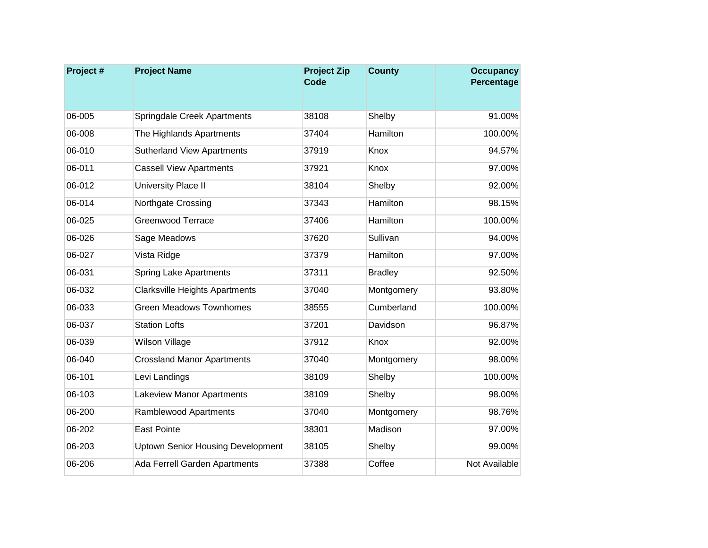| Project# | <b>Project Name</b>                      | <b>Project Zip</b><br><b>Code</b> | <b>County</b>   | <b>Occupancy</b><br>Percentage |
|----------|------------------------------------------|-----------------------------------|-----------------|--------------------------------|
|          |                                          |                                   |                 |                                |
| 06-005   | Springdale Creek Apartments              | 38108                             | Shelby          | 91.00%                         |
| 06-008   | The Highlands Apartments                 | 37404                             | <b>Hamilton</b> | 100.00%                        |
| 06-010   | <b>Sutherland View Apartments</b>        | 37919                             | <b>Knox</b>     | 94.57%                         |
| 06-011   | <b>Cassell View Apartments</b>           | 37921                             | Knox            | 97.00%                         |
| 06-012   | University Place II                      | 38104                             | Shelby          | 92.00%                         |
| 06-014   | Northgate Crossing                       | 37343                             | Hamilton        | 98.15%                         |
| 06-025   | <b>Greenwood Terrace</b>                 | 37406                             | Hamilton        | 100.00%                        |
| 06-026   | Sage Meadows                             | 37620                             | Sullivan        | 94.00%                         |
| 06-027   | Vista Ridge                              | 37379                             | Hamilton        | 97.00%                         |
| 06-031   | <b>Spring Lake Apartments</b>            | 37311                             | <b>Bradley</b>  | 92.50%                         |
| 06-032   | <b>Clarksville Heights Apartments</b>    | 37040                             | Montgomery      | 93.80%                         |
| 06-033   | <b>Green Meadows Townhomes</b>           | 38555                             | Cumberland      | 100.00%                        |
| 06-037   | <b>Station Lofts</b>                     | 37201                             | Davidson        | 96.87%                         |
| 06-039   | <b>Wilson Village</b>                    | 37912                             | Knox            | 92.00%                         |
| 06-040   | <b>Crossland Manor Apartments</b>        | 37040                             | Montgomery      | 98.00%                         |
| 06-101   | Levi Landings                            | 38109                             | Shelby          | 100.00%                        |
| 06-103   | <b>Lakeview Manor Apartments</b>         | 38109                             | Shelby          | 98.00%                         |
| 06-200   | Ramblewood Apartments                    | 37040                             | Montgomery      | 98.76%                         |
| 06-202   | <b>East Pointe</b>                       | 38301                             | Madison         | 97.00%                         |
| 06-203   | <b>Uptown Senior Housing Development</b> | 38105                             | Shelby          | 99.00%                         |
| 06-206   | Ada Ferrell Garden Apartments            | 37388                             | Coffee          | Not Available                  |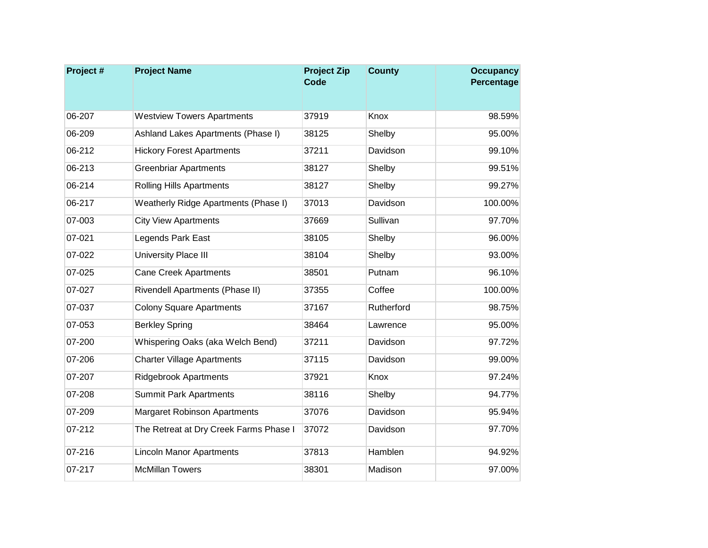| Project# | <b>Project Name</b>                    | <b>Project Zip</b><br><b>Code</b> | <b>County</b> | <b>Occupancy</b><br>Percentage |
|----------|----------------------------------------|-----------------------------------|---------------|--------------------------------|
|          |                                        |                                   |               |                                |
| 06-207   | <b>Westview Towers Apartments</b>      | 37919                             | Knox          | 98.59%                         |
| 06-209   | Ashland Lakes Apartments (Phase I)     | 38125                             | Shelby        | 95.00%                         |
| 06-212   | <b>Hickory Forest Apartments</b>       | 37211                             | Davidson      | 99.10%                         |
| 06-213   | <b>Greenbriar Apartments</b>           | 38127                             | Shelby        | 99.51%                         |
| 06-214   | <b>Rolling Hills Apartments</b>        | 38127                             | Shelby        | 99.27%                         |
| 06-217   | Weatherly Ridge Apartments (Phase I)   | 37013                             | Davidson      | 100.00%                        |
| 07-003   | <b>City View Apartments</b>            | 37669                             | Sullivan      | 97.70%                         |
| 07-021   | Legends Park East                      | 38105                             | Shelby        | 96.00%                         |
| 07-022   | University Place III                   | 38104                             | Shelby        | 93.00%                         |
| 07-025   | <b>Cane Creek Apartments</b>           | 38501                             | Putnam        | 96.10%                         |
| 07-027   | Rivendell Apartments (Phase II)        | 37355                             | Coffee        | 100.00%                        |
| 07-037   | <b>Colony Square Apartments</b>        | 37167                             | Rutherford    | 98.75%                         |
| 07-053   | <b>Berkley Spring</b>                  | 38464                             | Lawrence      | 95.00%                         |
| 07-200   | Whispering Oaks (aka Welch Bend)       | 37211                             | Davidson      | 97.72%                         |
| 07-206   | <b>Charter Village Apartments</b>      | 37115                             | Davidson      | 99.00%                         |
| 07-207   | <b>Ridgebrook Apartments</b>           | 37921                             | Knox          | 97.24%                         |
| 07-208   | <b>Summit Park Apartments</b>          | 38116                             | Shelby        | 94.77%                         |
| 07-209   | <b>Margaret Robinson Apartments</b>    | 37076                             | Davidson      | 95.94%                         |
| 07-212   | The Retreat at Dry Creek Farms Phase I | 37072                             | Davidson      | 97.70%                         |
| 07-216   | <b>Lincoln Manor Apartments</b>        | 37813                             | Hamblen       | 94.92%                         |
| 07-217   | <b>McMillan Towers</b>                 | 38301                             | Madison       | 97.00%                         |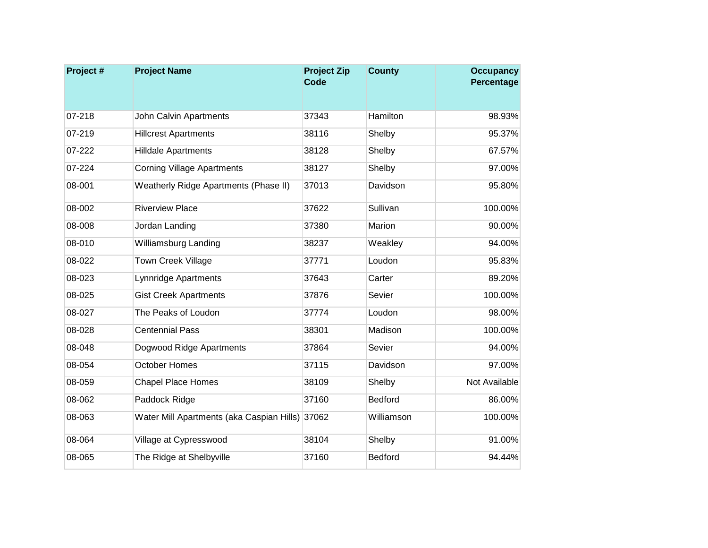| Project# | <b>Project Name</b>                             | <b>Project Zip</b><br><b>Code</b> | <b>County</b>  | <b>Occupancy</b><br>Percentage |
|----------|-------------------------------------------------|-----------------------------------|----------------|--------------------------------|
|          |                                                 |                                   |                |                                |
| 07-218   | <b>John Calvin Apartments</b>                   | 37343                             | Hamilton       | 98.93%                         |
| 07-219   | <b>Hillcrest Apartments</b>                     | 38116                             | Shelby         | 95.37%                         |
| 07-222   | <b>Hilldale Apartments</b>                      | 38128                             | Shelby         | 67.57%                         |
| 07-224   | <b>Corning Village Apartments</b>               | 38127                             | Shelby         | 97.00%                         |
| 08-001   | Weatherly Ridge Apartments (Phase II)           | 37013                             | Davidson       | 95.80%                         |
| 08-002   | <b>Riverview Place</b>                          | 37622                             | Sullivan       | 100.00%                        |
| 08-008   | Jordan Landing                                  | 37380                             | Marion         | 90.00%                         |
| 08-010   | Williamsburg Landing                            | 38237                             | Weakley        | 94.00%                         |
| 08-022   | <b>Town Creek Village</b>                       | 37771                             | Loudon         | 95.83%                         |
| 08-023   | Lynnridge Apartments                            | 37643                             | Carter         | 89.20%                         |
| 08-025   | <b>Gist Creek Apartments</b>                    | 37876                             | Sevier         | 100.00%                        |
| 08-027   | The Peaks of Loudon                             | 37774                             | Loudon         | 98.00%                         |
| 08-028   | <b>Centennial Pass</b>                          | 38301                             | Madison        | 100.00%                        |
| 08-048   | Dogwood Ridge Apartments                        | 37864                             | Sevier         | 94.00%                         |
| 08-054   | October Homes                                   | 37115                             | Davidson       | 97.00%                         |
| 08-059   | <b>Chapel Place Homes</b>                       | 38109                             | Shelby         | Not Available                  |
| 08-062   | Paddock Ridge                                   | 37160                             | <b>Bedford</b> | 86.00%                         |
| 08-063   | Water Mill Apartments (aka Caspian Hills) 37062 |                                   | Williamson     | 100.00%                        |
| 08-064   | Village at Cypresswood                          | 38104                             | Shelby         | 91.00%                         |
| 08-065   | The Ridge at Shelbyville                        | 37160                             | <b>Bedford</b> | 94.44%                         |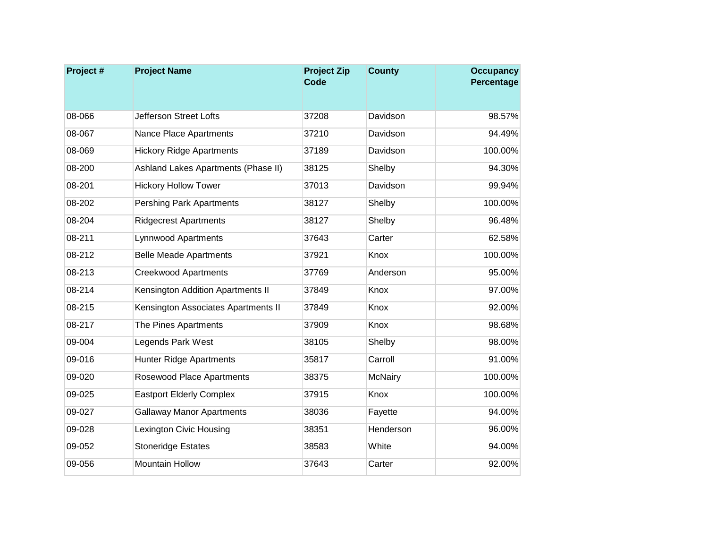| Project# | <b>Project Name</b>                 | <b>Project Zip</b><br><b>Code</b> | <b>County</b>  | <b>Occupancy</b><br>Percentage |
|----------|-------------------------------------|-----------------------------------|----------------|--------------------------------|
|          |                                     |                                   |                |                                |
| 08-066   | <b>Jefferson Street Lofts</b>       | 37208                             | Davidson       | 98.57%                         |
| 08-067   | Nance Place Apartments              | 37210                             | Davidson       | 94.49%                         |
| 08-069   | <b>Hickory Ridge Apartments</b>     | 37189                             | Davidson       | 100.00%                        |
| 08-200   | Ashland Lakes Apartments (Phase II) | 38125                             | Shelby         | 94.30%                         |
| 08-201   | <b>Hickory Hollow Tower</b>         | 37013                             | Davidson       | 99.94%                         |
| 08-202   | <b>Pershing Park Apartments</b>     | 38127                             | Shelby         | 100.00%                        |
| 08-204   | <b>Ridgecrest Apartments</b>        | 38127                             | Shelby         | 96.48%                         |
| 08-211   | <b>Lynnwood Apartments</b>          | 37643                             | Carter         | 62.58%                         |
| 08-212   | <b>Belle Meade Apartments</b>       | 37921                             | Knox           | 100.00%                        |
| 08-213   | <b>Creekwood Apartments</b>         | 37769                             | Anderson       | 95.00%                         |
| 08-214   | Kensington Addition Apartments II   | 37849                             | Knox           | 97.00%                         |
| 08-215   | Kensington Associates Apartments II | 37849                             | Knox           | 92.00%                         |
| 08-217   | The Pines Apartments                | 37909                             | Knox           | 98.68%                         |
| 09-004   | Legends Park West                   | 38105                             | Shelby         | 98.00%                         |
| 09-016   | <b>Hunter Ridge Apartments</b>      | 35817                             | Carroll        | 91.00%                         |
| 09-020   | Rosewood Place Apartments           | 38375                             | <b>McNairy</b> | 100.00%                        |
| 09-025   | <b>Eastport Elderly Complex</b>     | 37915                             | Knox           | 100.00%                        |
| 09-027   | <b>Gallaway Manor Apartments</b>    | 38036                             | Fayette        | 94.00%                         |
| 09-028   | Lexington Civic Housing             | 38351                             | Henderson      | 96.00%                         |
| 09-052   | Stoneridge Estates                  | 38583                             | White          | 94.00%                         |
| 09-056   | <b>Mountain Hollow</b>              | 37643                             | Carter         | 92.00%                         |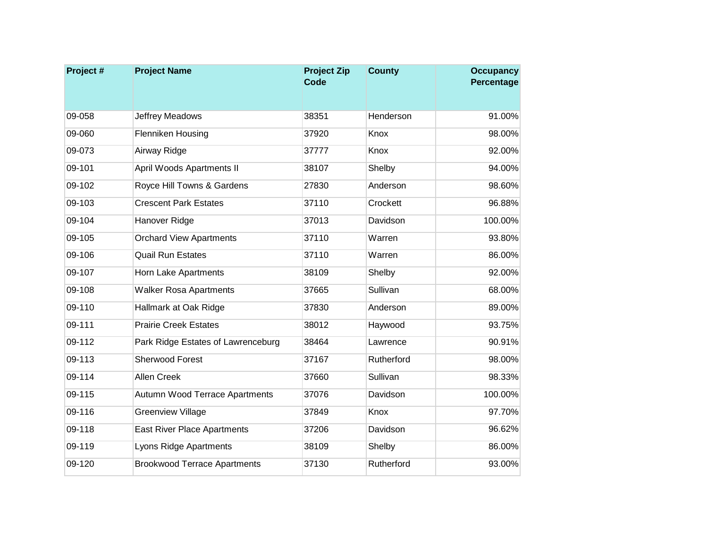| Project# | <b>Project Name</b>                 | <b>Project Zip</b><br><b>Code</b> | <b>County</b> | <b>Occupancy</b><br>Percentage |
|----------|-------------------------------------|-----------------------------------|---------------|--------------------------------|
|          |                                     |                                   |               |                                |
| 09-058   | Jeffrey Meadows                     | 38351                             | Henderson     | 91.00%                         |
| 09-060   | Flenniken Housing                   | 37920                             | Knox          | 98.00%                         |
| 09-073   | Airway Ridge                        | 37777                             | Knox          | 92.00%                         |
| 09-101   | April Woods Apartments II           | 38107                             | Shelby        | 94.00%                         |
| 09-102   | Royce Hill Towns & Gardens          | 27830                             | Anderson      | 98.60%                         |
| 09-103   | <b>Crescent Park Estates</b>        | 37110                             | Crockett      | 96.88%                         |
| 09-104   | Hanover Ridge                       | 37013                             | Davidson      | 100.00%                        |
| 09-105   | <b>Orchard View Apartments</b>      | 37110                             | Warren        | 93.80%                         |
| 09-106   | <b>Quail Run Estates</b>            | 37110                             | Warren        | 86.00%                         |
| 09-107   | Horn Lake Apartments                | 38109                             | Shelby        | 92.00%                         |
| 09-108   | <b>Walker Rosa Apartments</b>       | 37665                             | Sullivan      | 68.00%                         |
| 09-110   | Hallmark at Oak Ridge               | 37830                             | Anderson      | 89.00%                         |
| 09-111   | <b>Prairie Creek Estates</b>        | 38012                             | Haywood       | 93.75%                         |
| 09-112   | Park Ridge Estates of Lawrenceburg  | 38464                             | Lawrence      | 90.91%                         |
| 09-113   | <b>Sherwood Forest</b>              | 37167                             | Rutherford    | 98.00%                         |
| 09-114   | <b>Allen Creek</b>                  | 37660                             | Sullivan      | 98.33%                         |
| 09-115   | Autumn Wood Terrace Apartments      | 37076                             | Davidson      | 100.00%                        |
| 09-116   | <b>Greenview Village</b>            | 37849                             | Knox          | 97.70%                         |
| 09-118   | <b>East River Place Apartments</b>  | 37206                             | Davidson      | 96.62%                         |
| 09-119   | Lyons Ridge Apartments              | 38109                             | Shelby        | 86.00%                         |
| 09-120   | <b>Brookwood Terrace Apartments</b> | 37130                             | Rutherford    | 93.00%                         |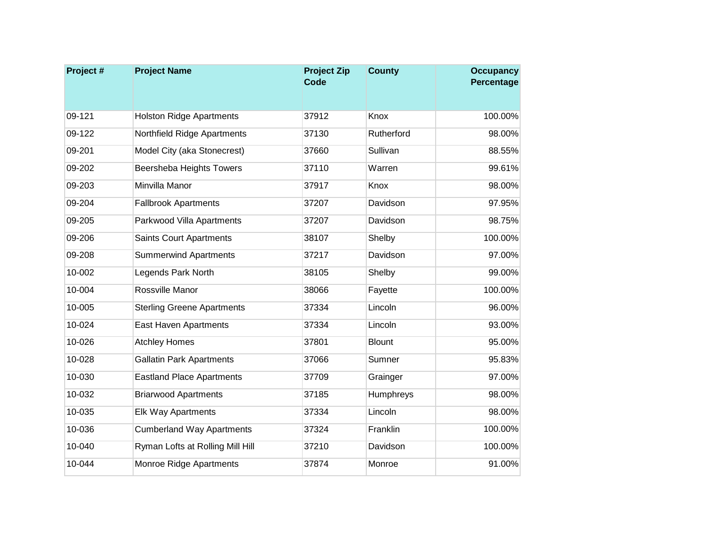| Project# | <b>Project Name</b>               | <b>Project Zip</b><br><b>Code</b> | <b>County</b> | <b>Occupancy</b><br>Percentage |
|----------|-----------------------------------|-----------------------------------|---------------|--------------------------------|
|          |                                   |                                   |               |                                |
| 09-121   | <b>Holston Ridge Apartments</b>   | 37912                             | Knox          | 100.00%                        |
| 09-122   | Northfield Ridge Apartments       | 37130                             | Rutherford    | 98.00%                         |
| 09-201   | Model City (aka Stonecrest)       | 37660                             | Sullivan      | 88.55%                         |
| 09-202   | Beersheba Heights Towers          | 37110                             | Warren        | 99.61%                         |
| 09-203   | Minvilla Manor                    | 37917                             | Knox          | 98.00%                         |
| 09-204   | <b>Fallbrook Apartments</b>       | 37207                             | Davidson      | 97.95%                         |
| 09-205   | Parkwood Villa Apartments         | 37207                             | Davidson      | 98.75%                         |
| 09-206   | <b>Saints Court Apartments</b>    | 38107                             | Shelby        | 100.00%                        |
| 09-208   | <b>Summerwind Apartments</b>      | 37217                             | Davidson      | 97.00%                         |
| 10-002   | Legends Park North                | 38105                             | Shelby        | 99.00%                         |
| 10-004   | Rossville Manor                   | 38066                             | Fayette       | 100.00%                        |
| 10-005   | <b>Sterling Greene Apartments</b> | 37334                             | Lincoln       | 96.00%                         |
| 10-024   | East Haven Apartments             | 37334                             | Lincoln       | 93.00%                         |
| 10-026   | <b>Atchley Homes</b>              | 37801                             | <b>Blount</b> | 95.00%                         |
| 10-028   | <b>Gallatin Park Apartments</b>   | 37066                             | Sumner        | 95.83%                         |
| 10-030   | <b>Eastland Place Apartments</b>  | 37709                             | Grainger      | 97.00%                         |
| 10-032   | <b>Briarwood Apartments</b>       | 37185                             | Humphreys     | 98.00%                         |
| 10-035   | <b>Elk Way Apartments</b>         | 37334                             | Lincoln       | 98.00%                         |
| 10-036   | <b>Cumberland Way Apartments</b>  | 37324                             | Franklin      | 100.00%                        |
| 10-040   | Ryman Lofts at Rolling Mill Hill  | 37210                             | Davidson      | 100.00%                        |
| 10-044   | Monroe Ridge Apartments           | 37874                             | Monroe        | 91.00%                         |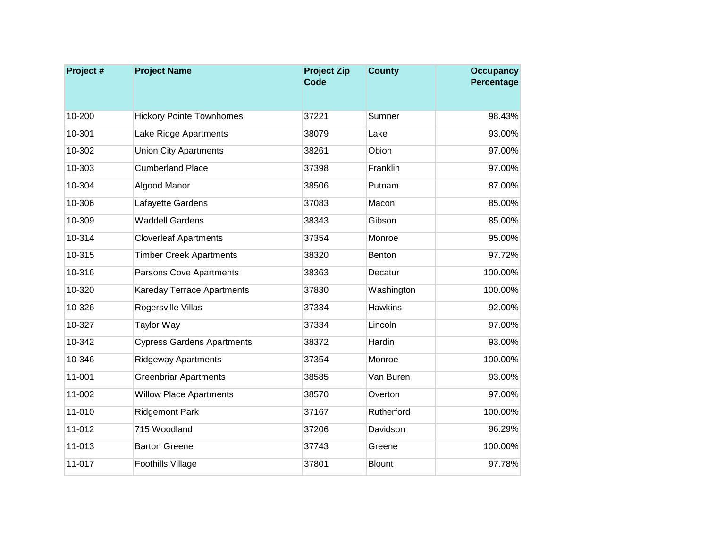| Project# | <b>Project Name</b>               | <b>Project Zip</b><br><b>Code</b> | <b>County</b>  | <b>Occupancy</b><br>Percentage |
|----------|-----------------------------------|-----------------------------------|----------------|--------------------------------|
|          |                                   |                                   |                |                                |
| 10-200   | <b>Hickory Pointe Townhomes</b>   | 37221                             | Sumner         | 98.43%                         |
| 10-301   | Lake Ridge Apartments             | 38079                             | Lake           | 93.00%                         |
| 10-302   | <b>Union City Apartments</b>      | 38261                             | Obion          | 97.00%                         |
| 10-303   | <b>Cumberland Place</b>           | 37398                             | Franklin       | 97.00%                         |
| 10-304   | Algood Manor                      | 38506                             | Putnam         | 87.00%                         |
| 10-306   | Lafayette Gardens                 | 37083                             | Macon          | 85.00%                         |
| 10-309   | <b>Waddell Gardens</b>            | 38343                             | Gibson         | 85.00%                         |
| 10-314   | <b>Cloverleaf Apartments</b>      | 37354                             | Monroe         | 95.00%                         |
| 10-315   | <b>Timber Creek Apartments</b>    | 38320                             | Benton         | 97.72%                         |
| 10-316   | Parsons Cove Apartments           | 38363                             | Decatur        | 100.00%                        |
| 10-320   | Kareday Terrace Apartments        | 37830                             | Washington     | 100.00%                        |
| 10-326   | Rogersville Villas                | 37334                             | <b>Hawkins</b> | 92.00%                         |
| 10-327   | <b>Taylor Way</b>                 | 37334                             | Lincoln        | 97.00%                         |
| 10-342   | <b>Cypress Gardens Apartments</b> | 38372                             | Hardin         | 93.00%                         |
| 10-346   | <b>Ridgeway Apartments</b>        | 37354                             | Monroe         | 100.00%                        |
| 11-001   | <b>Greenbriar Apartments</b>      | 38585                             | Van Buren      | 93.00%                         |
| 11-002   | <b>Willow Place Apartments</b>    | 38570                             | Overton        | 97.00%                         |
| 11-010   | <b>Ridgemont Park</b>             | 37167                             | Rutherford     | 100.00%                        |
| 11-012   | 715 Woodland                      | 37206                             | Davidson       | 96.29%                         |
| 11-013   | <b>Barton Greene</b>              | 37743                             | Greene         | 100.00%                        |
| 11-017   | <b>Foothills Village</b>          | 37801                             | <b>Blount</b>  | 97.78%                         |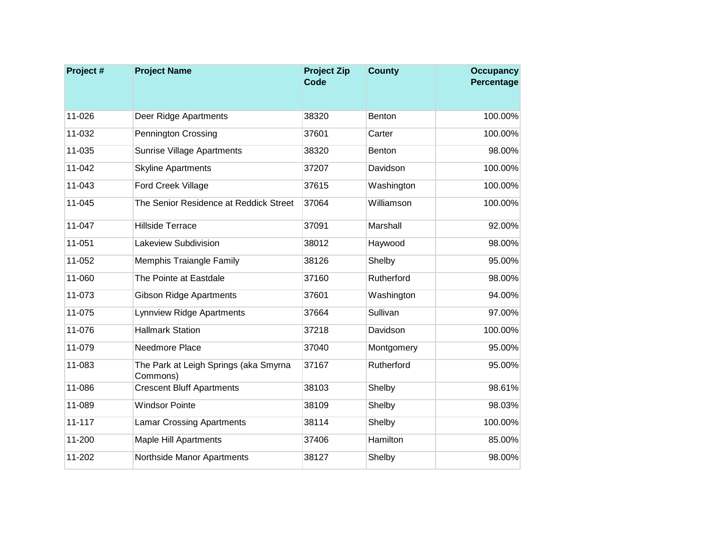| Project #  | <b>Project Name</b>                               | <b>Project Zip</b><br>Code | <b>County</b> | <b>Occupancy</b><br>Percentage |
|------------|---------------------------------------------------|----------------------------|---------------|--------------------------------|
|            |                                                   |                            |               |                                |
| 11-026     | Deer Ridge Apartments                             | 38320                      | <b>Benton</b> | 100.00%                        |
| 11-032     | <b>Pennington Crossing</b>                        | 37601                      | Carter        | 100.00%                        |
| 11-035     | Sunrise Village Apartments                        | 38320                      | Benton        | 98.00%                         |
| 11-042     | <b>Skyline Apartments</b>                         | 37207                      | Davidson      | 100.00%                        |
| 11-043     | Ford Creek Village                                | 37615                      | Washington    | 100.00%                        |
| 11-045     | The Senior Residence at Reddick Street            | 37064                      | Williamson    | 100.00%                        |
| 11-047     | <b>Hillside Terrace</b>                           | 37091                      | Marshall      | 92.00%                         |
| 11-051     | Lakeview Subdivision                              | 38012                      | Haywood       | 98.00%                         |
| 11-052     | Memphis Traiangle Family                          | 38126                      | Shelby        | 95.00%                         |
| 11-060     | The Pointe at Eastdale                            | 37160                      | Rutherford    | 98.00%                         |
| 11-073     | <b>Gibson Ridge Apartments</b>                    | 37601                      | Washington    | 94.00%                         |
| 11-075     | Lynnview Ridge Apartments                         | 37664                      | Sullivan      | 97.00%                         |
| 11-076     | <b>Hallmark Station</b>                           | 37218                      | Davidson      | 100.00%                        |
| 11-079     | Needmore Place                                    | 37040                      | Montgomery    | 95.00%                         |
| 11-083     | The Park at Leigh Springs (aka Smyrna<br>Commons) | 37167                      | Rutherford    | 95.00%                         |
| 11-086     | <b>Crescent Bluff Apartments</b>                  | 38103                      | Shelby        | 98.61%                         |
| 11-089     | <b>Windsor Pointe</b>                             | 38109                      | Shelby        | 98.03%                         |
| $11 - 117$ | <b>Lamar Crossing Apartments</b>                  | 38114                      | Shelby        | 100.00%                        |
| 11-200     | <b>Maple Hill Apartments</b>                      | 37406                      | Hamilton      | 85.00%                         |
| 11-202     | Northside Manor Apartments                        | 38127                      | Shelby        | 98.00%                         |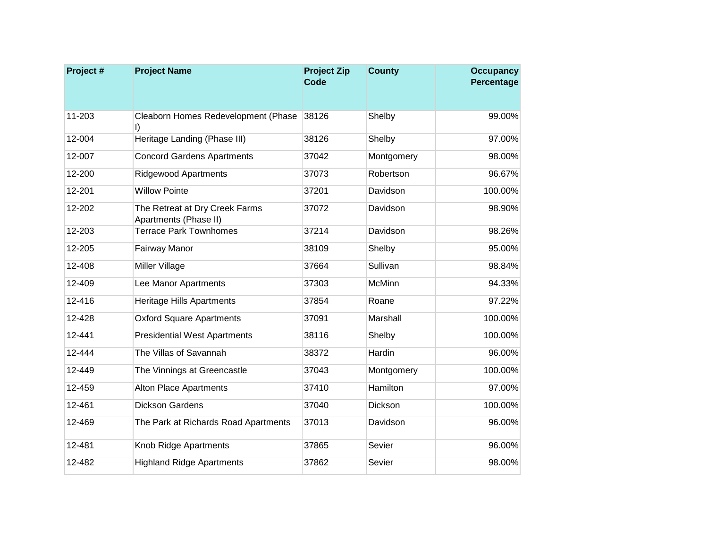| Project # | <b>Project Name</b>                                     | <b>Project Zip</b><br><b>Code</b> | <b>County</b> | <b>Occupancy</b><br>Percentage |
|-----------|---------------------------------------------------------|-----------------------------------|---------------|--------------------------------|
|           |                                                         |                                   |               |                                |
| 11-203    | Cleaborn Homes Redevelopment (Phase<br>I)               | 38126                             | Shelby        | 99.00%                         |
| 12-004    | Heritage Landing (Phase III)                            | 38126                             | Shelby        | 97.00%                         |
| 12-007    | <b>Concord Gardens Apartments</b>                       | 37042                             | Montgomery    | 98.00%                         |
| 12-200    | <b>Ridgewood Apartments</b>                             | 37073                             | Robertson     | 96.67%                         |
| 12-201    | <b>Willow Pointe</b>                                    | 37201                             | Davidson      | 100.00%                        |
| 12-202    | The Retreat at Dry Creek Farms<br>Apartments (Phase II) | 37072                             | Davidson      | 98.90%                         |
| 12-203    | <b>Terrace Park Townhomes</b>                           | 37214                             | Davidson      | 98.26%                         |
| 12-205    | Fairway Manor                                           | 38109                             | Shelby        | 95.00%                         |
| 12-408    | Miller Village                                          | 37664                             | Sullivan      | 98.84%                         |
| 12-409    | Lee Manor Apartments                                    | 37303                             | <b>McMinn</b> | 94.33%                         |
| 12-416    | Heritage Hills Apartments                               | 37854                             | Roane         | 97.22%                         |
| 12-428    | <b>Oxford Square Apartments</b>                         | 37091                             | Marshall      | 100.00%                        |
| 12-441    | <b>Presidential West Apartments</b>                     | 38116                             | Shelby        | 100.00%                        |
| 12-444    | The Villas of Savannah                                  | 38372                             | Hardin        | 96.00%                         |
| 12-449    | The Vinnings at Greencastle                             | 37043                             | Montgomery    | 100.00%                        |
| 12-459    | Alton Place Apartments                                  | 37410                             | Hamilton      | 97.00%                         |
| 12-461    | <b>Dickson Gardens</b>                                  | 37040                             | Dickson       | 100.00%                        |
| 12-469    | The Park at Richards Road Apartments                    | 37013                             | Davidson      | 96.00%                         |
| 12-481    | Knob Ridge Apartments                                   | 37865                             | Sevier        | 96.00%                         |
| 12-482    | <b>Highland Ridge Apartments</b>                        | 37862                             | Sevier        | 98.00%                         |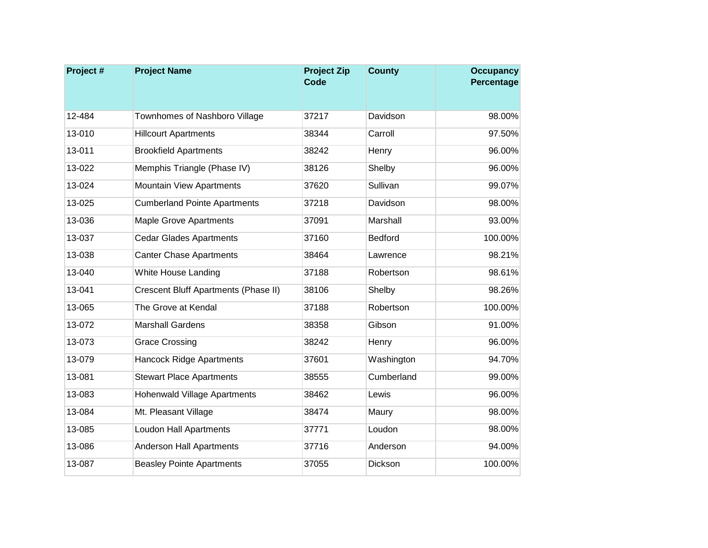| Project # | <b>Project Name</b>                         | <b>Project Zip</b><br><b>Code</b> | <b>County</b>  | <b>Occupancy</b><br>Percentage |
|-----------|---------------------------------------------|-----------------------------------|----------------|--------------------------------|
|           |                                             |                                   |                |                                |
| 12-484    | Townhomes of Nashboro Village               | 37217                             | Davidson       | 98.00%                         |
| 13-010    | <b>Hillcourt Apartments</b>                 | 38344                             | Carroll        | 97.50%                         |
| 13-011    | <b>Brookfield Apartments</b>                | 38242                             | Henry          | 96.00%                         |
| 13-022    | Memphis Triangle (Phase IV)                 | 38126                             | Shelby         | 96.00%                         |
| 13-024    | <b>Mountain View Apartments</b>             | 37620                             | Sullivan       | 99.07%                         |
| 13-025    | <b>Cumberland Pointe Apartments</b>         | 37218                             | Davidson       | 98.00%                         |
| 13-036    | <b>Maple Grove Apartments</b>               | 37091                             | Marshall       | 93.00%                         |
| 13-037    | <b>Cedar Glades Apartments</b>              | 37160                             | <b>Bedford</b> | 100.00%                        |
| 13-038    | <b>Canter Chase Apartments</b>              | 38464                             | Lawrence       | 98.21%                         |
| 13-040    | White House Landing                         | 37188                             | Robertson      | 98.61%                         |
| 13-041    | <b>Crescent Bluff Apartments (Phase II)</b> | 38106                             | Shelby         | 98.26%                         |
| 13-065    | The Grove at Kendal                         | 37188                             | Robertson      | 100.00%                        |
| 13-072    | <b>Marshall Gardens</b>                     | 38358                             | Gibson         | 91.00%                         |
| 13-073    | <b>Grace Crossing</b>                       | 38242                             | Henry          | 96.00%                         |
| 13-079    | <b>Hancock Ridge Apartments</b>             | 37601                             | Washington     | 94.70%                         |
| 13-081    | <b>Stewart Place Apartments</b>             | 38555                             | Cumberland     | 99.00%                         |
| 13-083    | <b>Hohenwald Village Apartments</b>         | 38462                             | Lewis          | 96.00%                         |
| 13-084    | Mt. Pleasant Village                        | 38474                             | Maury          | 98.00%                         |
| 13-085    | <b>Loudon Hall Apartments</b>               | 37771                             | Loudon         | 98.00%                         |
| 13-086    | <b>Anderson Hall Apartments</b>             | 37716                             | Anderson       | 94.00%                         |
| 13-087    | <b>Beasley Pointe Apartments</b>            | 37055                             | Dickson        | 100.00%                        |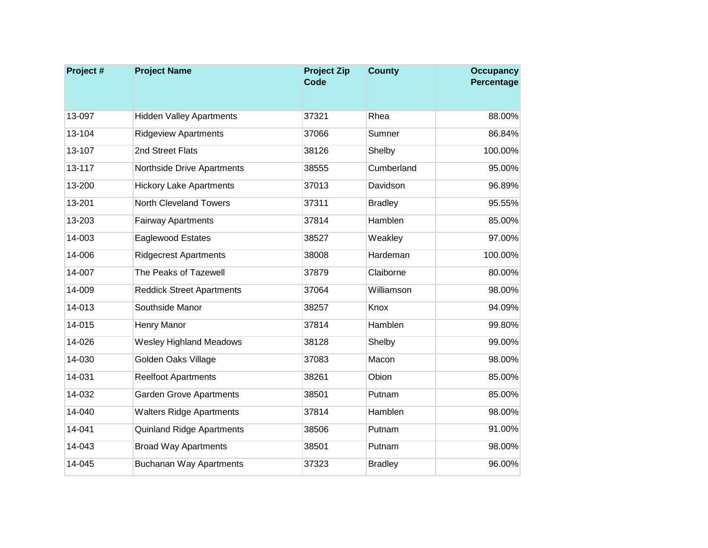| Project# | <b>Project Name</b>              | <b>Project Zip</b><br><b>Code</b> | <b>County</b>  | <b>Occupancy</b><br>Percentage |
|----------|----------------------------------|-----------------------------------|----------------|--------------------------------|
|          |                                  |                                   |                |                                |
| 13-097   | <b>Hidden Valley Apartments</b>  | 37321                             | Rhea           | 88.00%                         |
| 13-104   | <b>Ridgeview Apartments</b>      | 37066                             | Sumner         | 86.84%                         |
| 13-107   | 2nd Street Flats                 | 38126                             | Shelby         | 100.00%                        |
| 13-117   | Northside Drive Apartments       | 38555                             | Cumberland     | 95.00%                         |
| 13-200   | <b>Hickory Lake Apartments</b>   | 37013                             | Davidson       | 96.89%                         |
| 13-201   | <b>North Cleveland Towers</b>    | 37311                             | <b>Bradley</b> | 95.55%                         |
| 13-203   | <b>Fairway Apartments</b>        | 37814                             | Hamblen        | 85.00%                         |
| 14-003   | Eaglewood Estates                | 38527                             | Weakley        | 97.00%                         |
| 14-006   | <b>Ridgecrest Apartments</b>     | 38008                             | Hardeman       | 100.00%                        |
| 14-007   | The Peaks of Tazewell            | 37879                             | Claiborne      | 80.00%                         |
| 14-009   | <b>Reddick Street Apartments</b> | 37064                             | Williamson     | 98.00%                         |
| 14-013   | Southside Manor                  | 38257                             | Knox           | 94.09%                         |
| 14-015   | Henry Manor                      | 37814                             | Hamblen        | 99.80%                         |
| 14-026   | <b>Wesley Highland Meadows</b>   | 38128                             | Shelby         | 99.00%                         |
| 14-030   | Golden Oaks Village              | 37083                             | Macon          | 98.00%                         |
| 14-031   | <b>Reelfoot Apartments</b>       | 38261                             | Obion          | 85.00%                         |
| 14-032   | <b>Garden Grove Apartments</b>   | 38501                             | Putnam         | 85.00%                         |
| 14-040   | <b>Walters Ridge Apartments</b>  | 37814                             | Hamblen        | 98.00%                         |
| 14-041   | Quinland Ridge Apartments        | 38506                             | Putnam         | 91.00%                         |
| 14-043   | <b>Broad Way Apartments</b>      | 38501                             | Putnam         | 98.00%                         |
| 14-045   | <b>Buchanan Way Apartments</b>   | 37323                             | <b>Bradley</b> | 96.00%                         |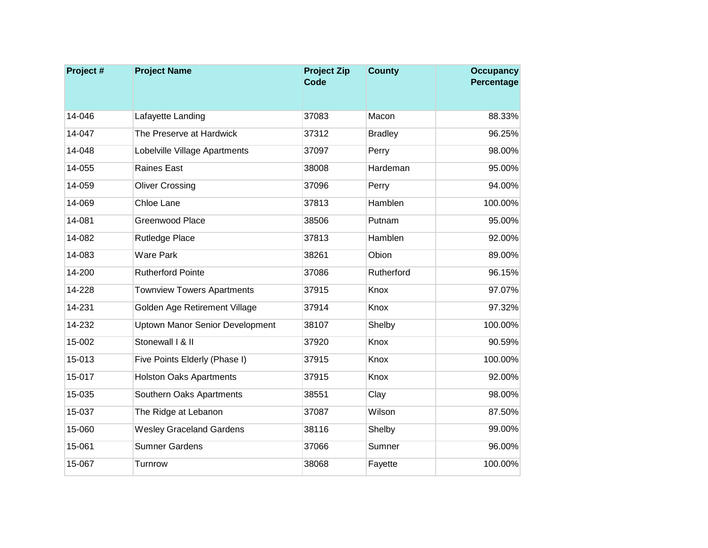| Project # | <b>Project Name</b>                    | <b>Project Zip</b><br><b>Code</b> | <b>County</b>  | <b>Occupancy</b><br>Percentage |
|-----------|----------------------------------------|-----------------------------------|----------------|--------------------------------|
|           |                                        |                                   |                |                                |
| 14-046    | Lafayette Landing                      | 37083                             | Macon          | 88.33%                         |
| 14-047    | The Preserve at Hardwick               | 37312                             | <b>Bradley</b> | 96.25%                         |
| 14-048    | Lobelville Village Apartments          | 37097                             | Perry          | 98.00%                         |
| 14-055    | Raines East                            | 38008                             | Hardeman       | 95.00%                         |
| 14-059    | <b>Oliver Crossing</b>                 | 37096                             | Perry          | 94.00%                         |
| 14-069    | Chloe Lane                             | 37813                             | Hamblen        | 100.00%                        |
| 14-081    | <b>Greenwood Place</b>                 | 38506                             | Putnam         | 95.00%                         |
| 14-082    | <b>Rutledge Place</b>                  | 37813                             | Hamblen        | 92.00%                         |
| 14-083    | <b>Ware Park</b>                       | 38261                             | Obion          | 89.00%                         |
| 14-200    | <b>Rutherford Pointe</b>               | 37086                             | Rutherford     | 96.15%                         |
| 14-228    | <b>Townview Towers Apartments</b>      | 37915                             | Knox           | 97.07%                         |
| 14-231    | Golden Age Retirement Village          | 37914                             | Knox           | 97.32%                         |
| 14-232    | <b>Uptown Manor Senior Development</b> | 38107                             | Shelby         | 100.00%                        |
| 15-002    | Stonewall I & II                       | 37920                             | Knox           | 90.59%                         |
| 15-013    | Five Points Elderly (Phase I)          | 37915                             | Knox           | 100.00%                        |
| 15-017    | <b>Holston Oaks Apartments</b>         | 37915                             | Knox           | 92.00%                         |
| 15-035    | Southern Oaks Apartments               | 38551                             | Clay           | 98.00%                         |
| 15-037    | The Ridge at Lebanon                   | 37087                             | Wilson         | 87.50%                         |
| 15-060    | <b>Wesley Graceland Gardens</b>        | 38116                             | Shelby         | 99.00%                         |
| 15-061    | <b>Sumner Gardens</b>                  | 37066                             | Sumner         | 96.00%                         |
| 15-067    | Turnrow                                | 38068                             | Fayette        | 100.00%                        |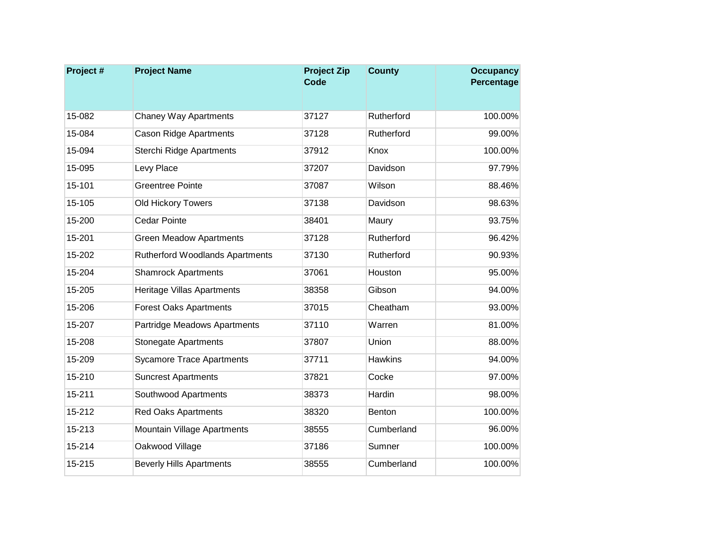| Project # | <b>Project Name</b>                    | <b>Project Zip</b><br><b>Code</b> | <b>County</b>  | <b>Occupancy</b><br>Percentage |
|-----------|----------------------------------------|-----------------------------------|----------------|--------------------------------|
|           |                                        |                                   |                |                                |
| 15-082    | <b>Chaney Way Apartments</b>           | 37127                             | Rutherford     | 100.00%                        |
| 15-084    | <b>Cason Ridge Apartments</b>          | 37128                             | Rutherford     | 99.00%                         |
| 15-094    | Sterchi Ridge Apartments               | 37912                             | Knox           | 100.00%                        |
| 15-095    | Levy Place                             | 37207                             | Davidson       | 97.79%                         |
| 15-101    | <b>Greentree Pointe</b>                | 37087                             | Wilson         | 88.46%                         |
| 15-105    | Old Hickory Towers                     | 37138                             | Davidson       | 98.63%                         |
| 15-200    | <b>Cedar Pointe</b>                    | 38401                             | Maury          | 93.75%                         |
| 15-201    | <b>Green Meadow Apartments</b>         | 37128                             | Rutherford     | 96.42%                         |
| 15-202    | <b>Rutherford Woodlands Apartments</b> | 37130                             | Rutherford     | 90.93%                         |
| 15-204    | <b>Shamrock Apartments</b>             | 37061                             | Houston        | 95.00%                         |
| 15-205    | Heritage Villas Apartments             | 38358                             | Gibson         | 94.00%                         |
| 15-206    | <b>Forest Oaks Apartments</b>          | 37015                             | Cheatham       | 93.00%                         |
| 15-207    | Partridge Meadows Apartments           | 37110                             | Warren         | 81.00%                         |
| 15-208    | <b>Stonegate Apartments</b>            | 37807                             | Union          | 88.00%                         |
| 15-209    | <b>Sycamore Trace Apartments</b>       | 37711                             | <b>Hawkins</b> | 94.00%                         |
| 15-210    | <b>Suncrest Apartments</b>             | 37821                             | Cocke          | 97.00%                         |
| 15-211    | Southwood Apartments                   | 38373                             | Hardin         | 98.00%                         |
| 15-212    | <b>Red Oaks Apartments</b>             | 38320                             | Benton         | 100.00%                        |
| 15-213    | Mountain Village Apartments            | 38555                             | Cumberland     | 96.00%                         |
| 15-214    | Oakwood Village                        | 37186                             | Sumner         | 100.00%                        |
| 15-215    | <b>Beverly Hills Apartments</b>        | 38555                             | Cumberland     | 100.00%                        |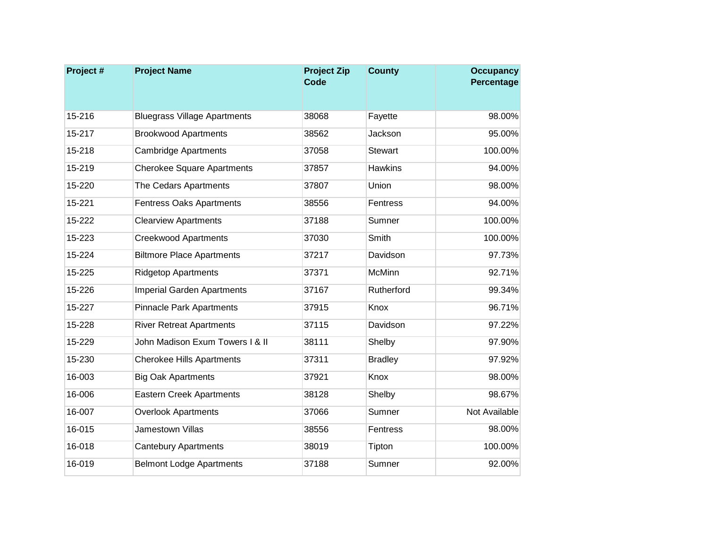| Project# | <b>Project Name</b>                 | <b>Project Zip</b><br><b>Code</b> | <b>County</b>  | <b>Occupancy</b><br>Percentage |
|----------|-------------------------------------|-----------------------------------|----------------|--------------------------------|
|          |                                     |                                   |                |                                |
| 15-216   | <b>Bluegrass Village Apartments</b> | 38068                             | Fayette        | 98.00%                         |
| 15-217   | <b>Brookwood Apartments</b>         | 38562                             | Jackson        | 95.00%                         |
| 15-218   | <b>Cambridge Apartments</b>         | 37058                             | <b>Stewart</b> | 100.00%                        |
| 15-219   | <b>Cherokee Square Apartments</b>   | 37857                             | <b>Hawkins</b> | 94.00%                         |
| 15-220   | The Cedars Apartments               | 37807                             | Union          | 98.00%                         |
| 15-221   | <b>Fentress Oaks Apartments</b>     | 38556                             | Fentress       | 94.00%                         |
| 15-222   | <b>Clearview Apartments</b>         | 37188                             | Sumner         | 100.00%                        |
| 15-223   | <b>Creekwood Apartments</b>         | 37030                             | Smith          | 100.00%                        |
| 15-224   | <b>Biltmore Place Apartments</b>    | 37217                             | Davidson       | 97.73%                         |
| 15-225   | <b>Ridgetop Apartments</b>          | 37371                             | <b>McMinn</b>  | 92.71%                         |
| 15-226   | <b>Imperial Garden Apartments</b>   | 37167                             | Rutherford     | 99.34%                         |
| 15-227   | <b>Pinnacle Park Apartments</b>     | 37915                             | Knox           | 96.71%                         |
| 15-228   | <b>River Retreat Apartments</b>     | 37115                             | Davidson       | 97.22%                         |
| 15-229   | John Madison Exum Towers I & II     | 38111                             | Shelby         | 97.90%                         |
| 15-230   | <b>Cherokee Hills Apartments</b>    | 37311                             | <b>Bradley</b> | 97.92%                         |
| 16-003   | <b>Big Oak Apartments</b>           | 37921                             | Knox           | 98.00%                         |
| 16-006   | <b>Eastern Creek Apartments</b>     | 38128                             | Shelby         | 98.67%                         |
| 16-007   | <b>Overlook Apartments</b>          | 37066                             | Sumner         | Not Available                  |
| 16-015   | Jamestown Villas                    | 38556                             | Fentress       | 98.00%                         |
| 16-018   | <b>Cantebury Apartments</b>         | 38019                             | Tipton         | 100.00%                        |
| 16-019   | <b>Belmont Lodge Apartments</b>     | 37188                             | Sumner         | 92.00%                         |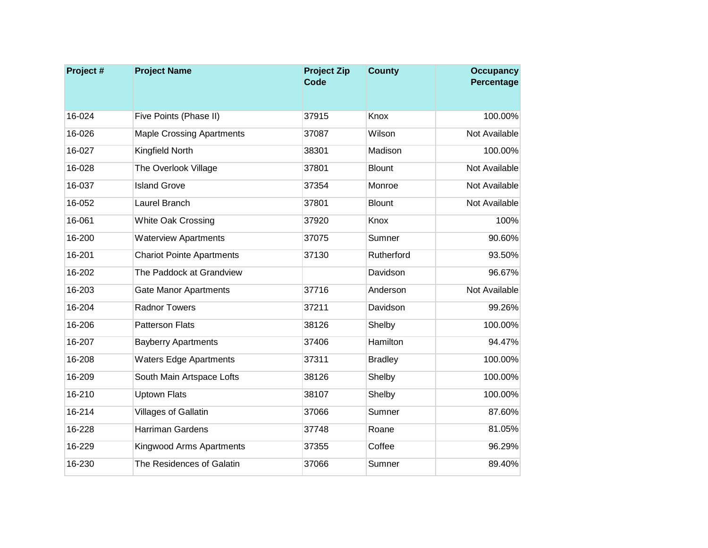| Project# | <b>Project Name</b>              | <b>Project Zip</b><br><b>Code</b> | <b>County</b>  | <b>Occupancy</b><br>Percentage |
|----------|----------------------------------|-----------------------------------|----------------|--------------------------------|
|          |                                  |                                   |                |                                |
| 16-024   | Five Points (Phase II)           | 37915                             | Knox           | 100.00%                        |
| 16-026   | <b>Maple Crossing Apartments</b> | 37087                             | Wilson         | Not Available                  |
| 16-027   | Kingfield North                  | 38301                             | Madison        | 100.00%                        |
| 16-028   | The Overlook Village             | 37801                             | <b>Blount</b>  | Not Available                  |
| 16-037   | <b>Island Grove</b>              | 37354                             | Monroe         | Not Available                  |
| 16-052   | Laurel Branch                    | 37801                             | <b>Blount</b>  | Not Available                  |
| 16-061   | <b>White Oak Crossing</b>        | 37920                             | Knox           | 100%                           |
| 16-200   | <b>Waterview Apartments</b>      | 37075                             | Sumner         | 90.60%                         |
| 16-201   | <b>Chariot Pointe Apartments</b> | 37130                             | Rutherford     | 93.50%                         |
| 16-202   | The Paddock at Grandview         |                                   | Davidson       | 96.67%                         |
| 16-203   | <b>Gate Manor Apartments</b>     | 37716                             | Anderson       | Not Available                  |
| 16-204   | <b>Radnor Towers</b>             | 37211                             | Davidson       | 99.26%                         |
| 16-206   | <b>Patterson Flats</b>           | 38126                             | Shelby         | 100.00%                        |
| 16-207   | <b>Bayberry Apartments</b>       | 37406                             | Hamilton       | 94.47%                         |
| 16-208   | <b>Waters Edge Apartments</b>    | 37311                             | <b>Bradley</b> | 100.00%                        |
| 16-209   | South Main Artspace Lofts        | 38126                             | Shelby         | 100.00%                        |
| 16-210   | <b>Uptown Flats</b>              | 38107                             | Shelby         | 100.00%                        |
| 16-214   | Villages of Gallatin             | 37066                             | Sumner         | 87.60%                         |
| 16-228   | Harriman Gardens                 | 37748                             | Roane          | 81.05%                         |
| 16-229   | <b>Kingwood Arms Apartments</b>  | 37355                             | Coffee         | 96.29%                         |
| 16-230   | The Residences of Galatin        | 37066                             | Sumner         | 89.40%                         |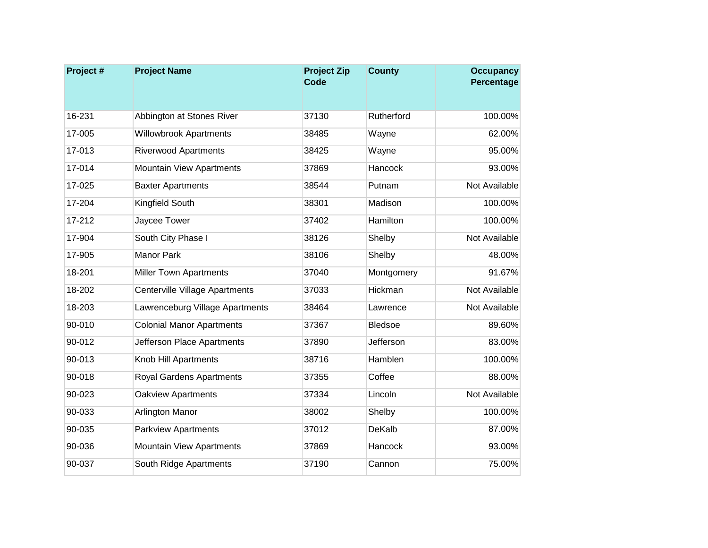| Project# | <b>Project Name</b>              | <b>Project Zip</b><br><b>Code</b> | <b>County</b>  | <b>Occupancy</b><br>Percentage |
|----------|----------------------------------|-----------------------------------|----------------|--------------------------------|
|          |                                  |                                   |                |                                |
| 16-231   | Abbington at Stones River        | 37130                             | Rutherford     | 100.00%                        |
| 17-005   | <b>Willowbrook Apartments</b>    | 38485                             | Wayne          | 62.00%                         |
| 17-013   | <b>Riverwood Apartments</b>      | 38425                             | Wayne          | 95.00%                         |
| 17-014   | <b>Mountain View Apartments</b>  | 37869                             | Hancock        | 93.00%                         |
| 17-025   | <b>Baxter Apartments</b>         | 38544                             | Putnam         | Not Available                  |
| 17-204   | Kingfield South                  | 38301                             | Madison        | 100.00%                        |
| 17-212   | Jaycee Tower                     | 37402                             | Hamilton       | 100.00%                        |
| 17-904   | South City Phase I               | 38126                             | Shelby         | Not Available                  |
| 17-905   | <b>Manor Park</b>                | 38106                             | Shelby         | 48.00%                         |
| 18-201   | <b>Miller Town Apartments</b>    | 37040                             | Montgomery     | 91.67%                         |
| 18-202   | Centerville Village Apartments   | 37033                             | Hickman        | Not Available                  |
| 18-203   | Lawrenceburg Village Apartments  | 38464                             | Lawrence       | Not Available                  |
| 90-010   | <b>Colonial Manor Apartments</b> | 37367                             | <b>Bledsoe</b> | 89.60%                         |
| 90-012   | Jefferson Place Apartments       | 37890                             | Jefferson      | 83.00%                         |
| 90-013   | Knob Hill Apartments             | 38716                             | Hamblen        | 100.00%                        |
| 90-018   | <b>Royal Gardens Apartments</b>  | 37355                             | Coffee         | 88.00%                         |
| 90-023   | <b>Oakview Apartments</b>        | 37334                             | Lincoln        | Not Available                  |
| 90-033   | Arlington Manor                  | 38002                             | Shelby         | 100.00%                        |
| 90-035   | <b>Parkview Apartments</b>       | 37012                             | <b>DeKalb</b>  | 87.00%                         |
| 90-036   | <b>Mountain View Apartments</b>  | 37869                             | Hancock        | 93.00%                         |
| 90-037   | South Ridge Apartments           | 37190                             | Cannon         | 75.00%                         |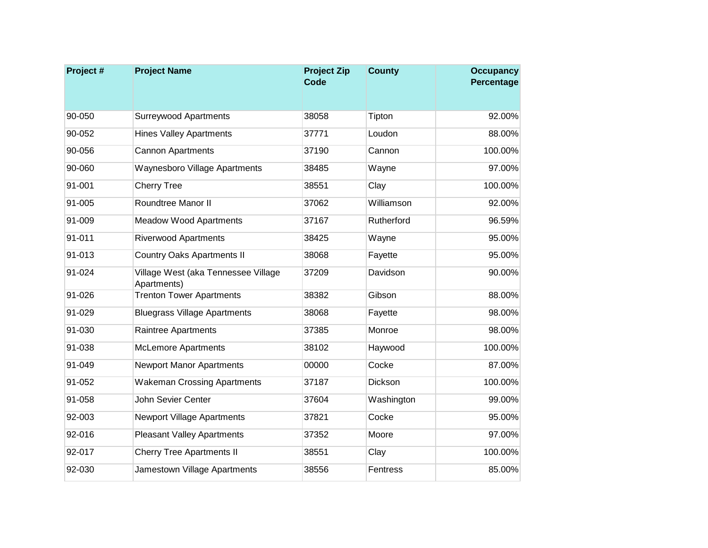| Project# | <b>Project Name</b>                                | <b>Project Zip</b><br><b>Code</b> | <b>County</b> | <b>Occupancy</b><br>Percentage |
|----------|----------------------------------------------------|-----------------------------------|---------------|--------------------------------|
|          |                                                    |                                   |               |                                |
| 90-050   | <b>Surreywood Apartments</b>                       | 38058                             | Tipton        | 92.00%                         |
| 90-052   | <b>Hines Valley Apartments</b>                     | 37771                             | Loudon        | 88.00%                         |
| 90-056   | <b>Cannon Apartments</b>                           | 37190                             | Cannon        | 100.00%                        |
| 90-060   | Waynesboro Village Apartments                      | 38485                             | Wayne         | 97.00%                         |
| 91-001   | <b>Cherry Tree</b>                                 | 38551                             | Clay          | 100.00%                        |
| 91-005   | Roundtree Manor II                                 | 37062                             | Williamson    | 92.00%                         |
| 91-009   | <b>Meadow Wood Apartments</b>                      | 37167                             | Rutherford    | 96.59%                         |
| 91-011   | <b>Riverwood Apartments</b>                        | 38425                             | Wayne         | 95.00%                         |
| 91-013   | <b>Country Oaks Apartments II</b>                  | 38068                             | Fayette       | 95.00%                         |
| 91-024   | Village West (aka Tennessee Village<br>Apartments) | 37209                             | Davidson      | 90.00%                         |
| 91-026   | <b>Trenton Tower Apartments</b>                    | 38382                             | Gibson        | 88.00%                         |
| 91-029   | <b>Bluegrass Village Apartments</b>                | 38068                             | Fayette       | 98.00%                         |
| 91-030   | Raintree Apartments                                | 37385                             | Monroe        | 98.00%                         |
| 91-038   | <b>McLemore Apartments</b>                         | 38102                             | Haywood       | 100.00%                        |
| 91-049   | <b>Newport Manor Apartments</b>                    | 00000                             | Cocke         | 87.00%                         |
| 91-052   | <b>Wakeman Crossing Apartments</b>                 | 37187                             | Dickson       | 100.00%                        |
| 91-058   | John Sevier Center                                 | 37604                             | Washington    | 99.00%                         |
| 92-003   | <b>Newport Village Apartments</b>                  | 37821                             | Cocke         | 95.00%                         |
| 92-016   | <b>Pleasant Valley Apartments</b>                  | 37352                             | Moore         | 97.00%                         |
| 92-017   | <b>Cherry Tree Apartments II</b>                   | 38551                             | Clay          | 100.00%                        |
| 92-030   | Jamestown Village Apartments                       | 38556                             | Fentress      | 85.00%                         |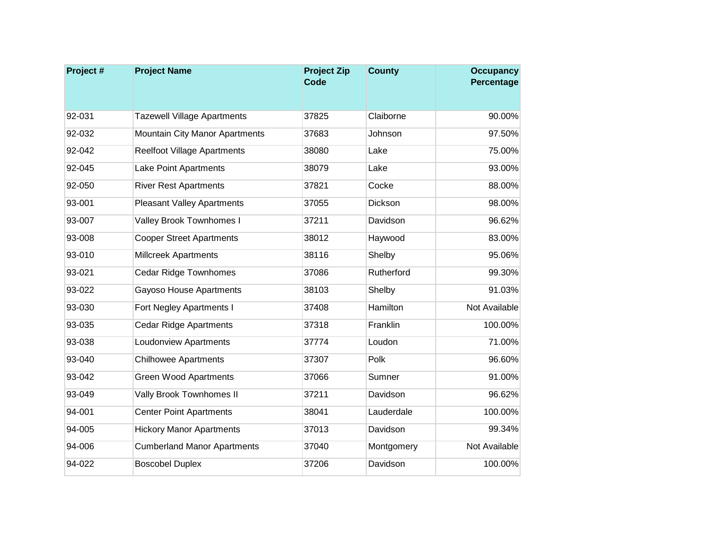| Project# | <b>Project Name</b>                | <b>Project Zip</b><br><b>Code</b> | <b>County</b> | <b>Occupancy</b><br>Percentage |
|----------|------------------------------------|-----------------------------------|---------------|--------------------------------|
|          |                                    |                                   |               |                                |
| 92-031   | <b>Tazewell Village Apartments</b> | 37825                             | Claiborne     | 90.00%                         |
| 92-032   | Mountain City Manor Apartments     | 37683                             | Johnson       | 97.50%                         |
| 92-042   | <b>Reelfoot Village Apartments</b> | 38080                             | Lake          | 75.00%                         |
| 92-045   | Lake Point Apartments              | 38079                             | Lake          | 93.00%                         |
| 92-050   | <b>River Rest Apartments</b>       | 37821                             | Cocke         | 88.00%                         |
| 93-001   | <b>Pleasant Valley Apartments</b>  | 37055                             | Dickson       | 98.00%                         |
| 93-007   | Valley Brook Townhomes I           | 37211                             | Davidson      | 96.62%                         |
| 93-008   | <b>Cooper Street Apartments</b>    | 38012                             | Haywood       | 83.00%                         |
| 93-010   | <b>Millcreek Apartments</b>        | 38116                             | Shelby        | 95.06%                         |
| 93-021   | <b>Cedar Ridge Townhomes</b>       | 37086                             | Rutherford    | 99.30%                         |
| 93-022   | Gayoso House Apartments            | 38103                             | Shelby        | 91.03%                         |
| 93-030   | Fort Negley Apartments I           | 37408                             | Hamilton      | Not Available                  |
| 93-035   | <b>Cedar Ridge Apartments</b>      | 37318                             | Franklin      | 100.00%                        |
| 93-038   | <b>Loudonview Apartments</b>       | 37774                             | Loudon        | 71.00%                         |
| 93-040   | <b>Chilhowee Apartments</b>        | 37307                             | Polk          | 96.60%                         |
| 93-042   | <b>Green Wood Apartments</b>       | 37066                             | Sumner        | 91.00%                         |
| 93-049   | Vally Brook Townhomes II           | 37211                             | Davidson      | 96.62%                         |
| 94-001   | <b>Center Point Apartments</b>     | 38041                             | Lauderdale    | 100.00%                        |
| 94-005   | <b>Hickory Manor Apartments</b>    | 37013                             | Davidson      | 99.34%                         |
| 94-006   | <b>Cumberland Manor Apartments</b> | 37040                             | Montgomery    | Not Available                  |
| 94-022   | <b>Boscobel Duplex</b>             | 37206                             | Davidson      | 100.00%                        |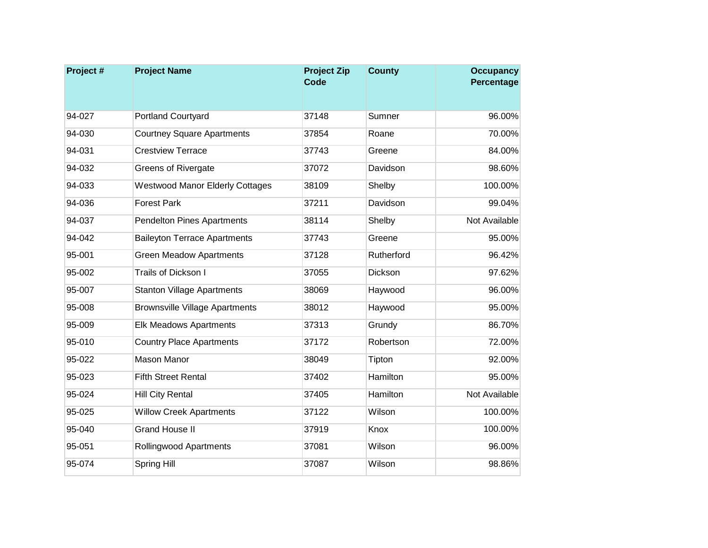| Project# | <b>Project Name</b>                    | <b>Project Zip</b><br><b>Code</b> | <b>County</b> | <b>Occupancy</b><br>Percentage |
|----------|----------------------------------------|-----------------------------------|---------------|--------------------------------|
|          |                                        |                                   |               |                                |
| 94-027   | <b>Portland Courtyard</b>              | 37148                             | Sumner        | 96.00%                         |
| 94-030   | <b>Courtney Square Apartments</b>      | 37854                             | Roane         | 70.00%                         |
| 94-031   | <b>Crestview Terrace</b>               | 37743                             | Greene        | 84.00%                         |
| 94-032   | <b>Greens of Rivergate</b>             | 37072                             | Davidson      | 98.60%                         |
| 94-033   | <b>Westwood Manor Elderly Cottages</b> | 38109                             | Shelby        | 100.00%                        |
| 94-036   | <b>Forest Park</b>                     | 37211                             | Davidson      | 99.04%                         |
| 94-037   | Pendelton Pines Apartments             | 38114                             | Shelby        | Not Available                  |
| 94-042   | <b>Baileyton Terrace Apartments</b>    | 37743                             | Greene        | 95.00%                         |
| 95-001   | <b>Green Meadow Apartments</b>         | 37128                             | Rutherford    | 96.42%                         |
| 95-002   | Trails of Dickson I                    | 37055                             | Dickson       | 97.62%                         |
| 95-007   | <b>Stanton Village Apartments</b>      | 38069                             | Haywood       | 96.00%                         |
| 95-008   | <b>Brownsville Village Apartments</b>  | 38012                             | Haywood       | 95.00%                         |
| 95-009   | <b>Elk Meadows Apartments</b>          | 37313                             | Grundy        | 86.70%                         |
| 95-010   | <b>Country Place Apartments</b>        | 37172                             | Robertson     | 72.00%                         |
| 95-022   | <b>Mason Manor</b>                     | 38049                             | Tipton        | 92.00%                         |
| 95-023   | <b>Fifth Street Rental</b>             | 37402                             | Hamilton      | 95.00%                         |
| 95-024   | <b>Hill City Rental</b>                | 37405                             | Hamilton      | Not Available                  |
| 95-025   | <b>Willow Creek Apartments</b>         | 37122                             | Wilson        | 100.00%                        |
| 95-040   | <b>Grand House II</b>                  | 37919                             | Knox          | 100.00%                        |
| 95-051   | <b>Rollingwood Apartments</b>          | 37081                             | Wilson        | 96.00%                         |
| 95-074   | Spring Hill                            | 37087                             | Wilson        | 98.86%                         |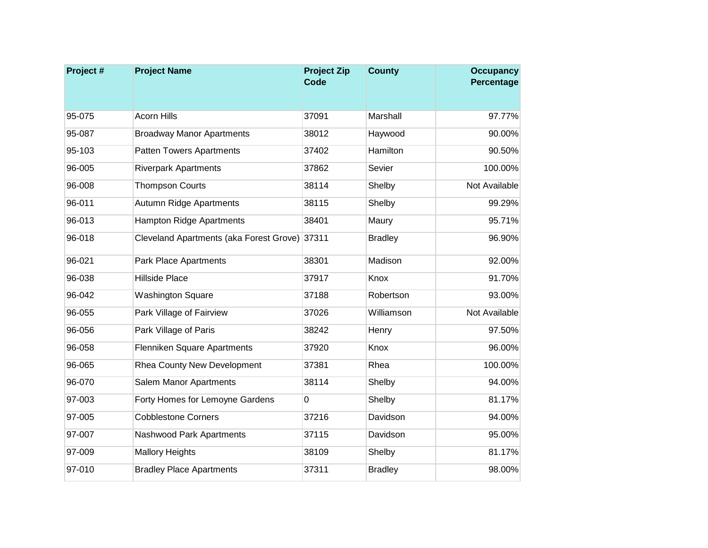| Project# | <b>Project Name</b>                           | <b>Project Zip</b><br>Code | <b>County</b>  | <b>Occupancy</b><br>Percentage |
|----------|-----------------------------------------------|----------------------------|----------------|--------------------------------|
|          |                                               |                            |                |                                |
| 95-075   | <b>Acorn Hills</b>                            | 37091                      | Marshall       | 97.77%                         |
| 95-087   | <b>Broadway Manor Apartments</b>              | 38012                      | Haywood        | 90.00%                         |
| 95-103   | <b>Patten Towers Apartments</b>               | 37402                      | Hamilton       | 90.50%                         |
| 96-005   | <b>Riverpark Apartments</b>                   | 37862                      | Sevier         | 100.00%                        |
| 96-008   | <b>Thompson Courts</b>                        | 38114                      | Shelby         | Not Available                  |
| 96-011   | Autumn Ridge Apartments                       | 38115                      | Shelby         | 99.29%                         |
| 96-013   | <b>Hampton Ridge Apartments</b>               | 38401                      | Maury          | 95.71%                         |
| 96-018   | Cleveland Apartments (aka Forest Grove) 37311 |                            | <b>Bradley</b> | 96.90%                         |
| 96-021   | <b>Park Place Apartments</b>                  | 38301                      | Madison        | 92.00%                         |
| 96-038   | <b>Hillside Place</b>                         | 37917                      | Knox           | 91.70%                         |
| 96-042   | <b>Washington Square</b>                      | 37188                      | Robertson      | 93.00%                         |
| 96-055   | Park Village of Fairview                      | 37026                      | Williamson     | Not Available                  |
| 96-056   | Park Village of Paris                         | 38242                      | Henry          | 97.50%                         |
| 96-058   | Flenniken Square Apartments                   | 37920                      | Knox           | 96.00%                         |
| 96-065   | Rhea County New Development                   | 37381                      | Rhea           | 100.00%                        |
| 96-070   | Salem Manor Apartments                        | 38114                      | Shelby         | 94.00%                         |
| 97-003   | Forty Homes for Lemoyne Gardens               | 0                          | Shelby         | 81.17%                         |
| 97-005   | <b>Cobblestone Corners</b>                    | 37216                      | Davidson       | 94.00%                         |
| 97-007   | Nashwood Park Apartments                      | 37115                      | Davidson       | 95.00%                         |
| 97-009   | <b>Mallory Heights</b>                        | 38109                      | Shelby         | 81.17%                         |
| 97-010   | <b>Bradley Place Apartments</b>               | 37311                      | <b>Bradley</b> | 98.00%                         |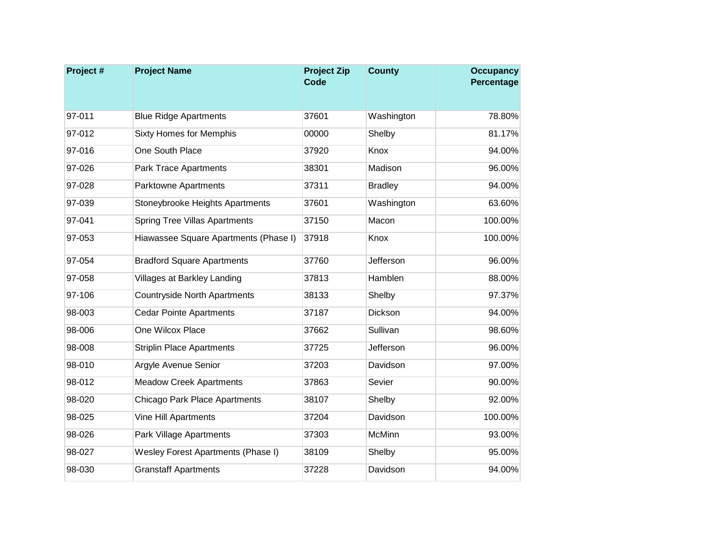| Project# | <b>Project Name</b>                   | <b>Project Zip</b><br><b>Code</b> | <b>County</b>  | <b>Occupancy</b><br>Percentage |
|----------|---------------------------------------|-----------------------------------|----------------|--------------------------------|
|          |                                       |                                   |                |                                |
| 97-011   | <b>Blue Ridge Apartments</b>          | 37601                             | Washington     | 78.80%                         |
| 97-012   | <b>Sixty Homes for Memphis</b>        | 00000                             | Shelby         | 81.17%                         |
| 97-016   | One South Place                       | 37920                             | Knox           | 94.00%                         |
| 97-026   | <b>Park Trace Apartments</b>          | 38301                             | Madison        | 96.00%                         |
| 97-028   | Parktowne Apartments                  | 37311                             | <b>Bradley</b> | 94.00%                         |
| 97-039   | Stoneybrooke Heights Apartments       | 37601                             | Washington     | 63.60%                         |
| 97-041   | <b>Spring Tree Villas Apartments</b>  | 37150                             | Macon          | 100.00%                        |
| 97-053   | Hiawassee Square Apartments (Phase I) | 37918                             | Knox           | 100.00%                        |
| 97-054   | <b>Bradford Square Apartments</b>     | 37760                             | Jefferson      | 96.00%                         |
| 97-058   | <b>Villages at Barkley Landing</b>    | 37813                             | Hamblen        | 88.00%                         |
| 97-106   | <b>Countryside North Apartments</b>   | 38133                             | Shelby         | 97.37%                         |
| 98-003   | <b>Cedar Pointe Apartments</b>        | 37187                             | Dickson        | 94.00%                         |
| 98-006   | One Wilcox Place                      | 37662                             | Sullivan       | 98.60%                         |
| 98-008   | <b>Striplin Place Apartments</b>      | 37725                             | Jefferson      | 96.00%                         |
| 98-010   | Argyle Avenue Senior                  | 37203                             | Davidson       | 97.00%                         |
| 98-012   | <b>Meadow Creek Apartments</b>        | 37863                             | Sevier         | 90.00%                         |
| 98-020   | Chicago Park Place Apartments         | 38107                             | Shelby         | 92.00%                         |
| 98-025   | Vine Hill Apartments                  | 37204                             | Davidson       | 100.00%                        |
| 98-026   | Park Village Apartments               | 37303                             | <b>McMinn</b>  | 93.00%                         |
| 98-027   | Wesley Forest Apartments (Phase I)    | 38109                             | Shelby         | 95.00%                         |
| 98-030   | <b>Granstaff Apartments</b>           | 37228                             | Davidson       | 94.00%                         |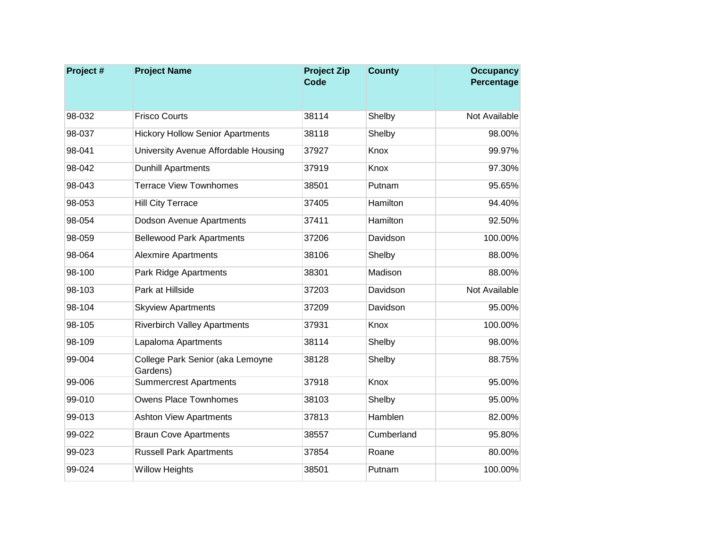| Project# | <b>Project Name</b>                          | <b>Project Zip</b><br><b>Code</b> | <b>County</b> | <b>Occupancy</b><br>Percentage |
|----------|----------------------------------------------|-----------------------------------|---------------|--------------------------------|
|          |                                              |                                   |               |                                |
| 98-032   | <b>Frisco Courts</b>                         | 38114                             | Shelby        | Not Available                  |
| 98-037   | <b>Hickory Hollow Senior Apartments</b>      | 38118                             | Shelby        | 98.00%                         |
| 98-041   | University Avenue Affordable Housing         | 37927                             | Knox          | 99.97%                         |
| 98-042   | <b>Dunhill Apartments</b>                    | 37919                             | Knox          | 97.30%                         |
| 98-043   | <b>Terrace View Townhomes</b>                | 38501                             | Putnam        | 95.65%                         |
| 98-053   | <b>Hill City Terrace</b>                     | 37405                             | Hamilton      | 94.40%                         |
| 98-054   | Dodson Avenue Apartments                     | 37411                             | Hamilton      | 92.50%                         |
| 98-059   | <b>Bellewood Park Apartments</b>             | 37206                             | Davidson      | 100.00%                        |
| 98-064   | <b>Alexmire Apartments</b>                   | 38106                             | Shelby        | 88.00%                         |
| 98-100   | <b>Park Ridge Apartments</b>                 | 38301                             | Madison       | 88.00%                         |
| 98-103   | Park at Hillside                             | 37203                             | Davidson      | Not Available                  |
| 98-104   | <b>Skyview Apartments</b>                    | 37209                             | Davidson      | 95.00%                         |
| 98-105   | <b>Riverbirch Valley Apartments</b>          | 37931                             | Knox          | 100.00%                        |
| 98-109   | Lapaloma Apartments                          | 38114                             | Shelby        | 98.00%                         |
| 99-004   | College Park Senior (aka Lemoyne<br>Gardens) | 38128                             | Shelby        | 88.75%                         |
| 99-006   | <b>Summercrest Apartments</b>                | 37918                             | Knox          | 95.00%                         |
| 99-010   | <b>Owens Place Townhomes</b>                 | 38103                             | Shelby        | 95.00%                         |
| 99-013   | <b>Ashton View Apartments</b>                | 37813                             | Hamblen       | 82.00%                         |
| 99-022   | <b>Braun Cove Apartments</b>                 | 38557                             | Cumberland    | 95.80%                         |
| 99-023   | <b>Russell Park Apartments</b>               | 37854                             | Roane         | 80.00%                         |
| 99-024   | <b>Willow Heights</b>                        | 38501                             | Putnam        | 100.00%                        |